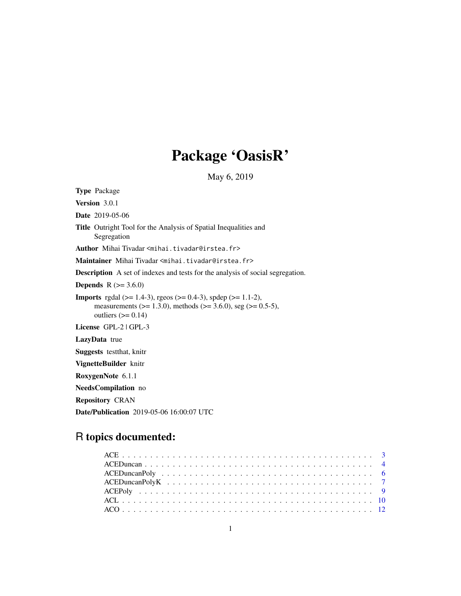# Package 'OasisR'

May 6, 2019

Type Package Version 3.0.1 Date 2019-05-06 Title Outright Tool for the Analysis of Spatial Inequalities and Segregation Author Mihai Tivadar <mihai.tivadar@irstea.fr> Maintainer Mihai Tivadar <mihai.tivadar@irstea.fr> Description A set of indexes and tests for the analysis of social segregation. **Depends** R  $(>= 3.6.0)$ **Imports** rgdal ( $>= 1.4-3$ ), rgeos ( $>= 0.4-3$ ), spdep ( $>= 1.1-2$ ), measurements ( $>= 1.3.0$ ), methods ( $>= 3.6.0$ ), seg ( $>= 0.5-5$ ), outliers  $(>= 0.14)$ License GPL-2 | GPL-3 LazyData true Suggests testthat, knitr VignetteBuilder knitr RoxygenNote 6.1.1 NeedsCompilation no Repository CRAN Date/Publication 2019-05-06 16:00:07 UTC

# R topics documented: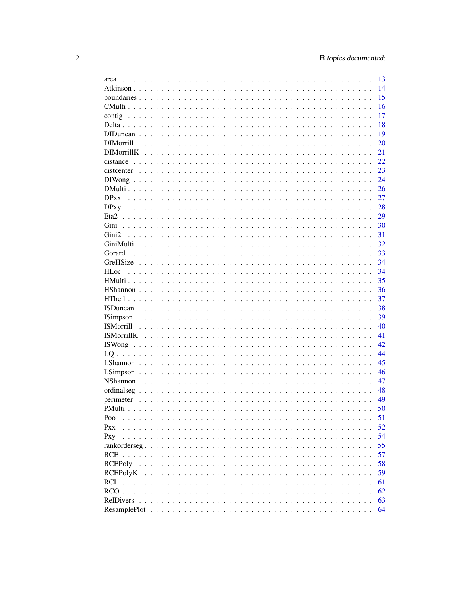| area                                                                                                                         | 13  |
|------------------------------------------------------------------------------------------------------------------------------|-----|
|                                                                                                                              | 14  |
|                                                                                                                              | 15  |
|                                                                                                                              | 16  |
|                                                                                                                              | 17  |
|                                                                                                                              | 18  |
|                                                                                                                              | 19  |
|                                                                                                                              | 20  |
|                                                                                                                              | 21  |
| distance                                                                                                                     | 22. |
|                                                                                                                              | 23  |
|                                                                                                                              |     |
|                                                                                                                              | 24  |
|                                                                                                                              | 26  |
|                                                                                                                              | 27  |
|                                                                                                                              | 28  |
|                                                                                                                              | 29  |
|                                                                                                                              | 30  |
| Gini <sub>2</sub>                                                                                                            | 31  |
|                                                                                                                              | 32  |
|                                                                                                                              | 33  |
|                                                                                                                              | 34  |
| <b>HLoc</b>                                                                                                                  | 34  |
|                                                                                                                              | 35  |
|                                                                                                                              | 36  |
|                                                                                                                              | 37  |
|                                                                                                                              | 38  |
|                                                                                                                              | 39  |
|                                                                                                                              | 40  |
|                                                                                                                              |     |
|                                                                                                                              | 41  |
|                                                                                                                              | 42  |
|                                                                                                                              | 44  |
|                                                                                                                              | 45  |
|                                                                                                                              | 46  |
|                                                                                                                              | 47  |
|                                                                                                                              | 48  |
|                                                                                                                              | 49  |
|                                                                                                                              | 50  |
| Poo                                                                                                                          | 51  |
| Pxx<br>$\mathbf{r}$ , $\mathbf{r}$ , $\mathbf{r}$ , $\mathbf{r}$ , $\mathbf{r}$ , $\mathbf{r}$ , $\mathbf{r}$ , $\mathbf{r}$ | 52  |
| Pxy                                                                                                                          | 54  |
|                                                                                                                              | 55  |
|                                                                                                                              | 57  |
|                                                                                                                              | 58  |
|                                                                                                                              | 59  |
|                                                                                                                              | 61  |
|                                                                                                                              |     |
| $RCO$                                                                                                                        | 62  |
| RelDivers                                                                                                                    | 63  |
|                                                                                                                              | 64  |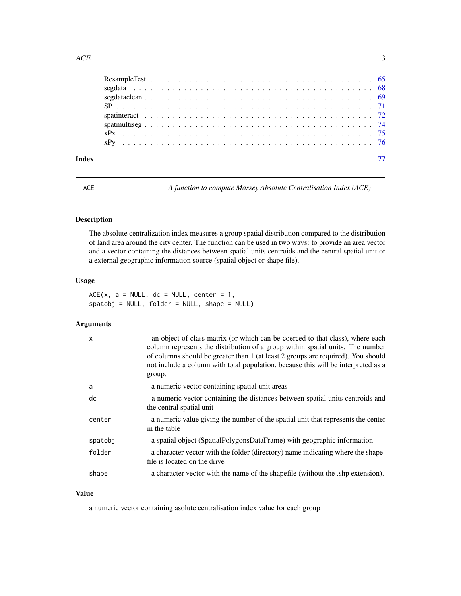<span id="page-2-0"></span>

| Index |  |  |  |  |  |  |  |  |  |  |  |  |  |  |  |  |  |  |  |
|-------|--|--|--|--|--|--|--|--|--|--|--|--|--|--|--|--|--|--|--|

<span id="page-2-1"></span>ACE *A function to compute Massey Absolute Centralisation Index (ACE)*

# Description

The absolute centralization index measures a group spatial distribution compared to the distribution of land area around the city center. The function can be used in two ways: to provide an area vector and a vector containing the distances between spatial units centroids and the central spatial unit or a external geographic information source (spatial object or shape file).

#### Usage

 $ACE(x, a = NULL, dc = NULL, center = 1,$ spatobj = NULL, folder = NULL, shape = NULL)

# Arguments

| $\mathsf{x}$ | - an object of class matrix (or which can be coerced to that class), where each<br>column represents the distribution of a group within spatial units. The number<br>of columns should be greater than 1 (at least 2 groups are required). You should<br>not include a column with total population, because this will be interpreted as a<br>group. |
|--------------|------------------------------------------------------------------------------------------------------------------------------------------------------------------------------------------------------------------------------------------------------------------------------------------------------------------------------------------------------|
| a            | - a numeric vector containing spatial unit areas                                                                                                                                                                                                                                                                                                     |
| dc           | - a numeric vector containing the distances between spatial units centroids and<br>the central spatial unit                                                                                                                                                                                                                                          |
| center       | - a numeric value giving the number of the spatial unit that represents the center<br>in the table                                                                                                                                                                                                                                                   |
| spatobj      | - a spatial object (SpatialPolygonsDataFrame) with geographic information                                                                                                                                                                                                                                                                            |
| folder       | - a character vector with the folder (directory) name indicating where the shape-<br>file is located on the drive                                                                                                                                                                                                                                    |
| shape        | - a character vector with the name of the shapefile (without the .shp extension).                                                                                                                                                                                                                                                                    |

# Value

a numeric vector containing asolute centralisation index value for each group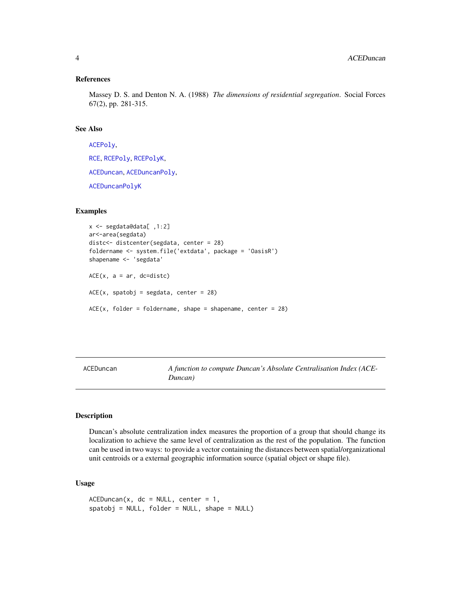#### <span id="page-3-0"></span>References

Massey D. S. and Denton N. A. (1988) *The dimensions of residential segregation*. Social Forces 67(2), pp. 281-315.

#### See Also

[ACEPoly](#page-8-1), [RCE](#page-56-1), [RCEPoly](#page-57-1), [RCEPolyK](#page-58-1), [ACEDuncan](#page-3-1), [ACEDuncanPoly](#page-5-1), [ACEDuncanPolyK](#page-6-1)

# Examples

```
x <- segdata@data[ ,1:2]
ar<-area(segdata)
distc<- distcenter(segdata, center = 28)
foldername <- system.file('extdata', package = 'OasisR')
shapename <- 'segdata'
ACE(x, a = ar, dc=distc)ACE(x, spatobj = segdata, center = 28)ACE(x, folder = foldername, shape = shapename, center = 28)
```
<span id="page-3-1"></span>ACEDuncan *A function to compute Duncan's Absolute Centralisation Index (ACE-Duncan)*

#### Description

Duncan's absolute centralization index measures the proportion of a group that should change its localization to achieve the same level of centralization as the rest of the population. The function can be used in two ways: to provide a vector containing the distances between spatial/organizational unit centroids or a external geographic information source (spatial object or shape file).

# Usage

```
ACEDuncan(x, dc = NULL, center = 1,spatobj = NULL, folder = NULL, shape = NULL)
```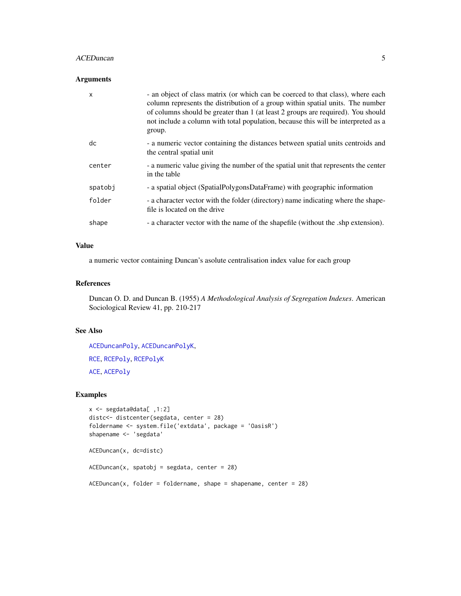# ACEDuncan 5

# Arguments

| $\mathsf{x}$ | - an object of class matrix (or which can be coerced to that class), where each<br>column represents the distribution of a group within spatial units. The number<br>of columns should be greater than 1 (at least 2 groups are required). You should<br>not include a column with total population, because this will be interpreted as a<br>group. |
|--------------|------------------------------------------------------------------------------------------------------------------------------------------------------------------------------------------------------------------------------------------------------------------------------------------------------------------------------------------------------|
| dc           | - a numeric vector containing the distances between spatial units centroids and<br>the central spatial unit                                                                                                                                                                                                                                          |
| center       | - a numeric value giving the number of the spatial unit that represents the center<br>in the table                                                                                                                                                                                                                                                   |
| spatobj      | - a spatial object (SpatialPolygonsDataFrame) with geographic information                                                                                                                                                                                                                                                                            |
| folder       | - a character vector with the folder (directory) name indicating where the shape-<br>file is located on the drive                                                                                                                                                                                                                                    |
| shape        | - a character vector with the name of the shapefile (without the shp extension).                                                                                                                                                                                                                                                                     |

# Value

a numeric vector containing Duncan's asolute centralisation index value for each group

#### References

Duncan O. D. and Duncan B. (1955) *A Methodological Analysis of Segregation Indexes*. American Sociological Review 41, pp. 210-217

# See Also

[ACEDuncanPoly](#page-5-1), [ACEDuncanPolyK](#page-6-1), [RCE](#page-56-1), [RCEPoly](#page-57-1), [RCEPolyK](#page-58-1) [ACE](#page-2-1), [ACEPoly](#page-8-1)

```
x <- segdata@data[ ,1:2]
distc<- distcenter(segdata, center = 28)
foldername <- system.file('extdata', package = 'OasisR')
shapename <- 'segdata'
ACEDuncan(x, dc=distc)
ACEDuncan(x, spatobj = segdata, center = 28)ACEDuncan(x, folder = foldername, shape = shapename, center = 28)
```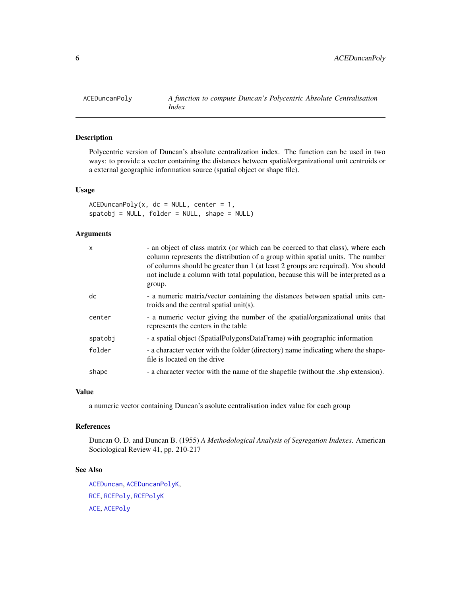<span id="page-5-1"></span><span id="page-5-0"></span>

Polycentric version of Duncan's absolute centralization index. The function can be used in two ways: to provide a vector containing the distances between spatial/organizational unit centroids or a external geographic information source (spatial object or shape file).

# Usage

 $ACEDuncanPoly(x, dc = NULL, center = 1,$  $spatobj = NULL, folder = NULL, shape = NULL)$ 

#### Arguments

| X       | - an object of class matrix (or which can be coerced to that class), where each<br>column represents the distribution of a group within spatial units. The number<br>of columns should be greater than 1 (at least 2 groups are required). You should<br>not include a column with total population, because this will be interpreted as a<br>group. |
|---------|------------------------------------------------------------------------------------------------------------------------------------------------------------------------------------------------------------------------------------------------------------------------------------------------------------------------------------------------------|
| dc      | - a numeric matrix/vector containing the distances between spatial units cen-<br>troids and the central spatial unit(s).                                                                                                                                                                                                                             |
| center  | - a numeric vector giving the number of the spatial/organizational units that<br>represents the centers in the table                                                                                                                                                                                                                                 |
| spatobj | - a spatial object (SpatialPolygonsDataFrame) with geographic information                                                                                                                                                                                                                                                                            |
| folder  | - a character vector with the folder (directory) name indicating where the shape-<br>file is located on the drive                                                                                                                                                                                                                                    |
| shape   | - a character vector with the name of the shapefile (without the .shp extension).                                                                                                                                                                                                                                                                    |

#### Value

a numeric vector containing Duncan's asolute centralisation index value for each group

# References

Duncan O. D. and Duncan B. (1955) *A Methodological Analysis of Segregation Indexes*. American Sociological Review 41, pp. 210-217

#### See Also

[ACEDuncan](#page-3-1), [ACEDuncanPolyK](#page-6-1), [RCE](#page-56-1), [RCEPoly](#page-57-1), [RCEPolyK](#page-58-1) [ACE](#page-2-1), [ACEPoly](#page-8-1)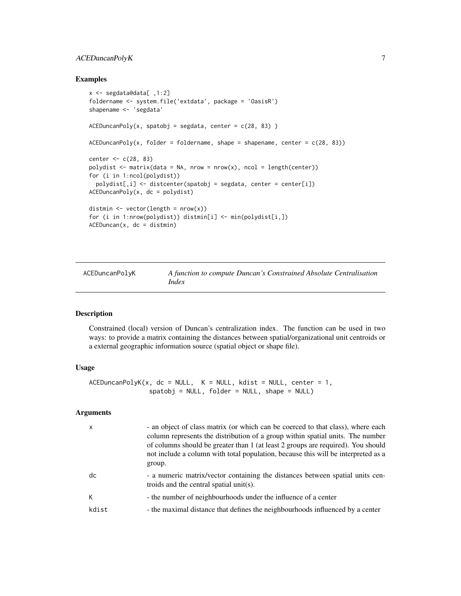# <span id="page-6-0"></span>ACEDuncanPolyK 7

#### Examples

```
x <- segdata@data[ ,1:2]
foldername <- system.file('extdata', package = 'OasisR')
shapename <- 'segdata'
ACEDuncanPoly(x, spatobj = segdata, center = c(28, 83))ACEDuncanPoly(x, folder = foldername, shape = shapename, center = c(28, 83))center <- c(28, 83)
polydist \leq matrix(data = NA, nrow = nrow(x), ncol = length(center))
for (i in 1:ncol(polydist))
  polydist[,i] <- distcenter(spatobj = segdata, center = center[i])
ACEDuncanPoly(x, dc = polydist)distmin \leq vector(length = nrow(x))
for (i in 1:nrow(polydist)) distmin[i] <- min(polydist[i,])
ACEDuncan(x, dc = distmin)
```
<span id="page-6-1"></span>

| ACEDuncanPolyK | A function to compute Duncan's Constrained Absolute Centralisation |
|----------------|--------------------------------------------------------------------|
|                | Index                                                              |

#### Description

Constrained (local) version of Duncan's centralization index. The function can be used in two ways: to provide a matrix containing the distances between spatial/organizational unit centroids or a external geographic information source (spatial object or shape file).

# Usage

```
ACEDuncanPolyK(x, dc = NULL, K = NULL, kdist = NULL, center = 1,spatobj = NULL, folder = NULL, shape = NULL)
```

| x     | - an object of class matrix (or which can be coerced to that class), where each<br>column represents the distribution of a group within spatial units. The number<br>of columns should be greater than 1 (at least 2 groups are required). You should<br>not include a column with total population, because this will be interpreted as a<br>group. |
|-------|------------------------------------------------------------------------------------------------------------------------------------------------------------------------------------------------------------------------------------------------------------------------------------------------------------------------------------------------------|
| dc    | - a numeric matrix/vector containing the distances between spatial units cen-<br>troids and the central spatial unit(s).                                                                                                                                                                                                                             |
| К     | - the number of neighbourhoods under the influence of a center                                                                                                                                                                                                                                                                                       |
| kdist | - the maximal distance that defines the neighbourhoods influenced by a center                                                                                                                                                                                                                                                                        |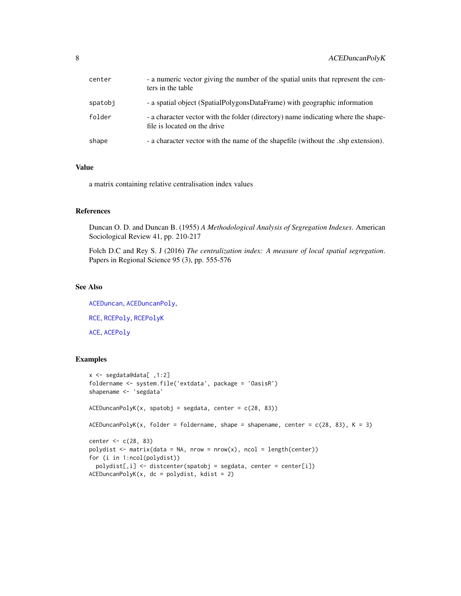| center  | - a numeric vector giving the number of the spatial units that represent the cen-<br>ters in the table            |
|---------|-------------------------------------------------------------------------------------------------------------------|
| spatobi | - a spatial object (SpatialPolygonsDataFrame) with geographic information                                         |
| folder  | - a character vector with the folder (directory) name indicating where the shape-<br>file is located on the drive |
| shape   | - a character vector with the name of the shapefile (without the shp extension).                                  |

# Value

a matrix containing relative centralisation index values

# References

Duncan O. D. and Duncan B. (1955) *A Methodological Analysis of Segregation Indexes*. American Sociological Review 41, pp. 210-217

Folch D.C and Rey S. J (2016) *The centralization index: A measure of local spatial segregation*. Papers in Regional Science 95 (3), pp. 555-576

# See Also

[ACEDuncan](#page-3-1), [ACEDuncanPoly](#page-5-1), [RCE](#page-56-1), [RCEPoly](#page-57-1), [RCEPolyK](#page-58-1) [ACE](#page-2-1), [ACEPoly](#page-8-1)

```
x <- segdata@data[ ,1:2]
foldername <- system.file('extdata', package = 'OasisR')
shapename <- 'segdata'
ACEDuncanPolyK(x, spatobj = segdata, center = c(28, 83))ACEDuncanPolyK(x, folder = foldername, shape = shapename, center = <math>c(28, 83)</math>, <math>K = 3</math>)center <- c(28, 83)
polydist \leq matrix(data = NA, nrow = nrow(x), ncol = length(center))
for (i in 1:ncol(polydist))
  polydist[,i] <- distcenter(spatobj = segdata, center = center[i])
ACEDuncanPolyK(x, dc = polydist, kdist = 2)
```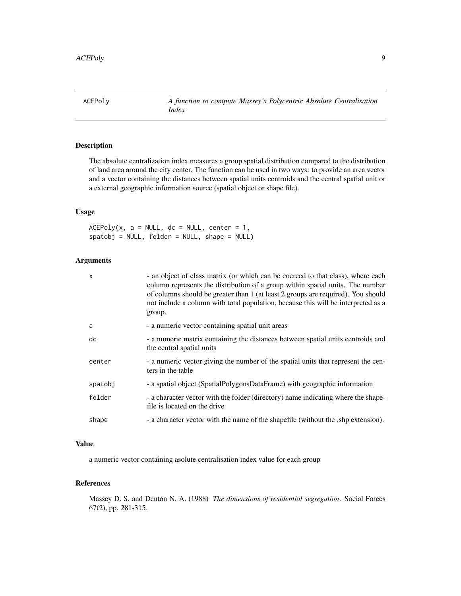<span id="page-8-1"></span><span id="page-8-0"></span>ACEPoly *A function to compute Massey's Polycentric Absolute Centralisation Index*

# Description

The absolute centralization index measures a group spatial distribution compared to the distribution of land area around the city center. The function can be used in two ways: to provide an area vector and a vector containing the distances between spatial units centroids and the central spatial unit or a external geographic information source (spatial object or shape file).

# Usage

 $ACEPoly(x, a = NULL, dc = NULL, center = 1,$  $spatobj = NULL, folder = NULL, shape = NULL)$ 

# Arguments

| $\mathsf{x}$ | - an object of class matrix (or which can be coerced to that class), where each<br>column represents the distribution of a group within spatial units. The number<br>of columns should be greater than 1 (at least 2 groups are required). You should<br>not include a column with total population, because this will be interpreted as a<br>group. |
|--------------|------------------------------------------------------------------------------------------------------------------------------------------------------------------------------------------------------------------------------------------------------------------------------------------------------------------------------------------------------|
| a            | - a numeric vector containing spatial unit areas                                                                                                                                                                                                                                                                                                     |
| dc           | - a numeric matrix containing the distances between spatial units centroids and<br>the central spatial units                                                                                                                                                                                                                                         |
| center       | - a numeric vector giving the number of the spatial units that represent the cen-<br>ters in the table                                                                                                                                                                                                                                               |
| spatobj      | - a spatial object (SpatialPolygonsDataFrame) with geographic information                                                                                                                                                                                                                                                                            |
| folder       | - a character vector with the folder (directory) name indicating where the shape-<br>file is located on the drive                                                                                                                                                                                                                                    |
| shape        | - a character vector with the name of the shapefile (without the .shp extension).                                                                                                                                                                                                                                                                    |

# Value

a numeric vector containing asolute centralisation index value for each group

# References

Massey D. S. and Denton N. A. (1988) *The dimensions of residential segregation*. Social Forces 67(2), pp. 281-315.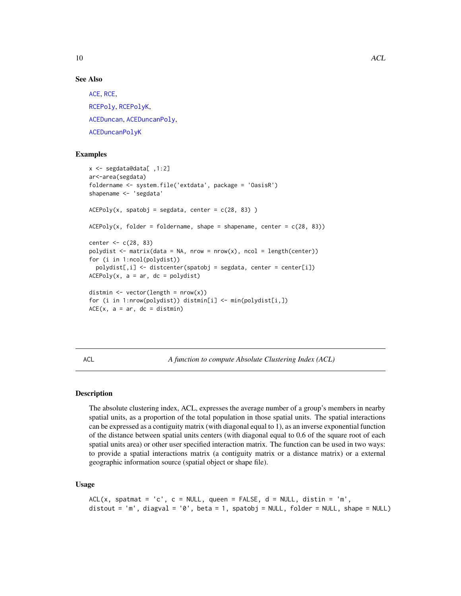<span id="page-9-0"></span>10 ACL

#### See Also

[ACE](#page-2-1), [RCE](#page-56-1), [RCEPoly](#page-57-1), [RCEPolyK](#page-58-1), [ACEDuncan](#page-3-1), [ACEDuncanPoly](#page-5-1), [ACEDuncanPolyK](#page-6-1)

# Examples

```
x <- segdata@data[ ,1:2]
ar<-area(segdata)
foldername <- system.file('extdata', package = 'OasisR')
shapename <- 'segdata'
ACEPoly(x, spatobj = segdata, center = c(28, 83))ACEPoly(x, folder = foldername, shape = shapename, center = c(28, 83))center <- c(28, 83)
polydist \leq matrix(data = NA, nrow = nrow(x), ncol = length(center))
for (i in 1:ncol(polydist))
  polydist[,i] \leq distcenter(spatchj = segdata, center = center[i])ACEPoly(x, a = ar, dc = polydist)distmin \leq vector(length = nrow(x))
for (i in 1:nrow(polydist)) distmin[i] <- min(polydist[i,])
ACE(x, a = ar, dc = distmin)
```
ACL *A function to compute Absolute Clustering Index (ACL)*

#### Description

The absolute clustering index, ACL, expresses the average number of a group's members in nearby spatial units, as a proportion of the total population in those spatial units. The spatial interactions can be expressed as a contiguity matrix (with diagonal equal to 1), as an inverse exponential function of the distance between spatial units centers (with diagonal equal to 0.6 of the square root of each spatial units area) or other user specified interaction matrix. The function can be used in two ways: to provide a spatial interactions matrix (a contiguity matrix or a distance matrix) or a external geographic information source (spatial object or shape file).

## Usage

```
ACL(x, spatmat = 'c', c = NULL, queen = FALSE, d = NULL, distin = 'm',distout = 'm', diagval = '0', beta = 1, spatobj = NULL, folder = NULL, shape = NULL)
```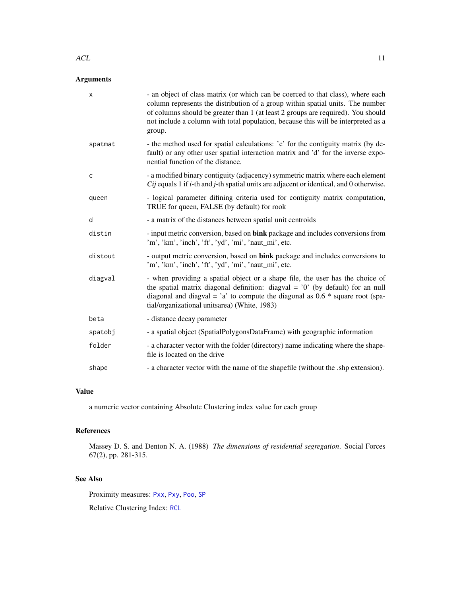#### $\Lambda$ CL  $\qquad \qquad$  11

# Arguments

| X       | - an object of class matrix (or which can be coerced to that class), where each<br>column represents the distribution of a group within spatial units. The number<br>of columns should be greater than 1 (at least 2 groups are required). You should<br>not include a column with total population, because this will be interpreted as a<br>group. |
|---------|------------------------------------------------------------------------------------------------------------------------------------------------------------------------------------------------------------------------------------------------------------------------------------------------------------------------------------------------------|
| spatmat | - the method used for spatial calculations: 'c' for the contiguity matrix (by de-<br>fault) or any other user spatial interaction matrix and 'd' for the inverse expo-<br>nential function of the distance.                                                                                                                                          |
| C       | - a modified binary contiguity (adjacency) symmetric matrix where each element<br>Cij equals 1 if <i>i</i> -th and <i>j</i> -th spatial units are adjacent or identical, and 0 otherwise.                                                                                                                                                            |
| queen   | - logical parameter difining criteria used for contiguity matrix computation,<br>TRUE for queen, FALSE (by default) for rook                                                                                                                                                                                                                         |
| d       | - a matrix of the distances between spatial unit centroids                                                                                                                                                                                                                                                                                           |
| distin  | - input metric conversion, based on bink package and includes conversions from<br>'m', 'km', 'inch', 'ft', 'yd', 'mi', 'naut_mi', etc.                                                                                                                                                                                                               |
| distout | - output metric conversion, based on bink package and includes conversions to<br>'m', 'km', 'inch', 'ft', 'yd', 'mi', 'naut_mi', etc.                                                                                                                                                                                                                |
| diagval | - when providing a spatial object or a shape file, the user has the choice of<br>the spatial matrix diagonal definition: diagval = $'0'$ (by default) for an null<br>diagonal and diagval = 'a' to compute the diagonal as $0.6 *$ square root (spa-<br>tial/organizational unitsarea) (White, 1983)                                                 |
| beta    | - distance decay parameter                                                                                                                                                                                                                                                                                                                           |
| spatobj | - a spatial object (SpatialPolygonsDataFrame) with geographic information                                                                                                                                                                                                                                                                            |
| folder  | - a character vector with the folder (directory) name indicating where the shape-<br>file is located on the drive                                                                                                                                                                                                                                    |
| shape   | - a character vector with the name of the shapefile (without the .shp extension).                                                                                                                                                                                                                                                                    |

# Value

a numeric vector containing Absolute Clustering index value for each group

# References

Massey D. S. and Denton N. A. (1988) *The dimensions of residential segregation*. Social Forces 67(2), pp. 281-315.

# See Also

Proximity measures: [Pxx](#page-51-1), [Pxy](#page-53-1), [Poo](#page-50-1), [SP](#page-70-1)

Relative Clustering Index: [RCL](#page-60-1)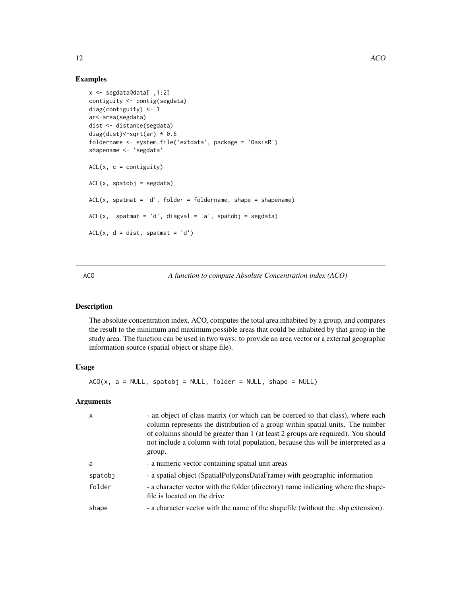# Examples

```
x <- segdata@data[ ,1:2]
contiguity <- contig(segdata)
diag(contiguity) <- 1
ar<-area(segdata)
dist <- distance(segdata)
diag(dist) <- sqrt(ar) * 0.6
foldername <- system.file('extdata', package = 'OasisR')
shapename <- 'segdata'
ACL(x, c = continuity)ACL(x, spatobj = segdata)ACL(x, spatmat = 'd', folder = foldername, shape = shapename)ACL(x, spatmat = 'd', diagval = 'a', spatobj = segdata)
ACL(x, d = dist, spatmat = 'd')
```
<span id="page-11-1"></span>ACO *A function to compute Absolute Concentration index (ACO)*

# Description

The absolute concentration index, ACO, computes the total area inhabited by a group, and compares the result to the minimum and maximum possible areas that could be inhabited by that group in the study area. The function can be used in two ways: to provide an area vector or a external geographic information source (spatial object or shape file).

# Usage

 $ACO(x, a = NULL, spatobj = NULL, folder = NULL, shape = NULL)$ 

| $\mathsf{x}$ | - an object of class matrix (or which can be coerced to that class), where each<br>column represents the distribution of a group within spatial units. The number<br>of columns should be greater than 1 (at least 2 groups are required). You should<br>not include a column with total population, because this will be interpreted as a<br>group. |
|--------------|------------------------------------------------------------------------------------------------------------------------------------------------------------------------------------------------------------------------------------------------------------------------------------------------------------------------------------------------------|
| a            | - a numeric vector containing spatial unit areas                                                                                                                                                                                                                                                                                                     |
| spatobj      | - a spatial object (SpatialPolygonsDataFrame) with geographic information                                                                                                                                                                                                                                                                            |
| folder       | - a character vector with the folder (directory) name indicating where the shape-<br>file is located on the drive                                                                                                                                                                                                                                    |
| shape        | - a character vector with the name of the shapefile (without the .shp extension).                                                                                                                                                                                                                                                                    |

<span id="page-11-0"></span>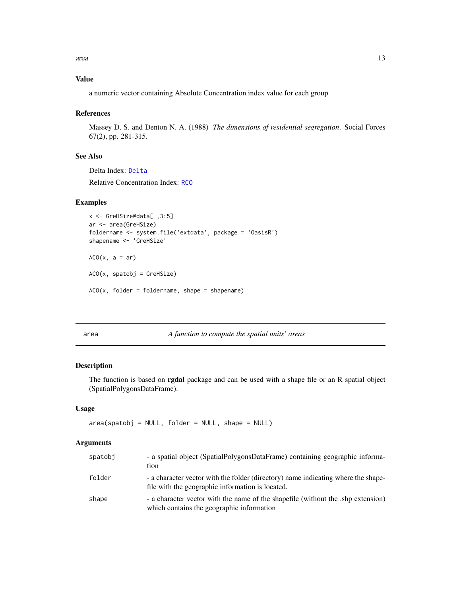# <span id="page-12-0"></span>Value

a numeric vector containing Absolute Concentration index value for each group

#### References

Massey D. S. and Denton N. A. (1988) *The dimensions of residential segregation*. Social Forces 67(2), pp. 281-315.

# See Also

Delta Index: [Delta](#page-17-1)

Relative Concentration Index: [RCO](#page-61-1)

# Examples

```
x <- GreHSize@data[ ,3:5]
ar <- area(GreHSize)
foldername <- system.file('extdata', package = 'OasisR')
shapename <- 'GreHSize'
ACO(x, a = ar)ACO(x, spatobj = GreHSize)
```
 $ACO(x, folder = foldername, shape = shapename)$ 

<span id="page-12-1"></span>area *A function to compute the spatial units' areas*

#### Description

The function is based on **rgdal** package and can be used with a shape file or an R spatial object (SpatialPolygonsDataFrame).

#### Usage

```
area(spatchj = NULL, folder = NULL, shape = NULL)
```

| spatobi | - a spatial object (SpatialPolygonsDataFrame) containing geographic informa-<br>tion                                                  |
|---------|---------------------------------------------------------------------------------------------------------------------------------------|
| folder  | - a character vector with the folder (directory) name indicating where the shape-<br>file with the geographic information is located. |
| shape   | a character vector with the name of the shapefile (without the .shp extension)<br>which contains the geographic information           |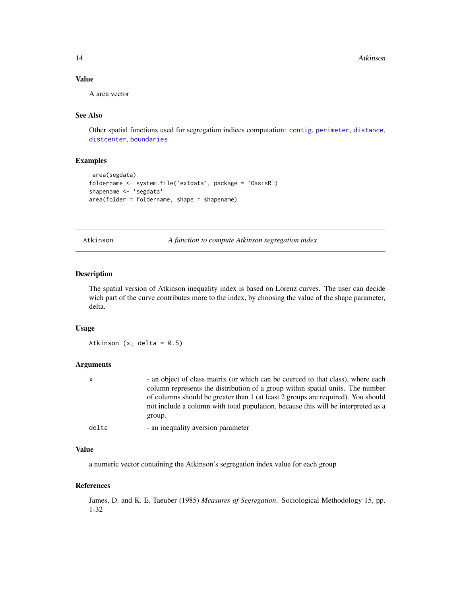<span id="page-13-0"></span>14 Atkinson

# Value

A area vector

# See Also

Other spatial functions used for segregation indices computation: [contig](#page-16-1), [perimeter](#page-48-1), [distance](#page-21-1), [distcenter](#page-22-1), [boundaries](#page-14-1)

# Examples

```
area(segdata)
foldername <- system.file('extdata', package = 'OasisR')
shapename <- 'segdata'
area(folder = foldername, shape = shapename)
```
<span id="page-13-1"></span>Atkinson *A function to compute Atkinson segregation index*

#### Description

The spatial version of Atkinson inequality index is based on Lorenz curves. The user can decide wich part of the curve contributes more to the index, by choosing the value of the shape parameter, delta.

#### Usage

Atkinson  $(x, delta = 0.5)$ 

# Arguments

| x     | - an object of class matrix (or which can be coerced to that class), where each   |
|-------|-----------------------------------------------------------------------------------|
|       | column represents the distribution of a group within spatial units. The number    |
|       | of columns should be greater than 1 (at least 2 groups are required). You should  |
|       | not include a column with total population, because this will be interpreted as a |
|       | group.                                                                            |
| delta | - an inequality aversion parameter                                                |

# Value

a numeric vector containing the Atkinson's segregation index value for each group

# References

James, D. and K. E. Taeuber (1985) *Measures of Segregation*. Sociological Methodology 15, pp. 1-32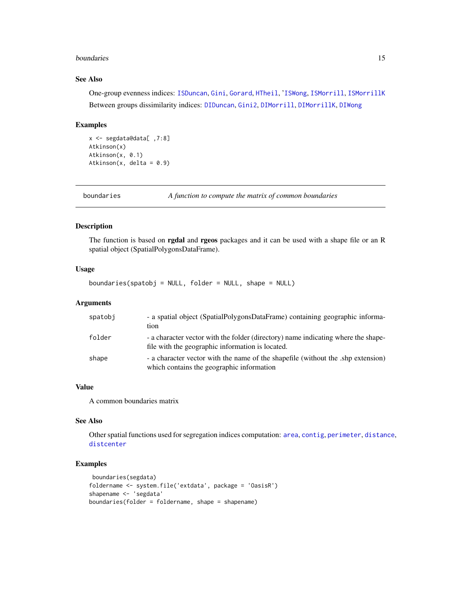#### <span id="page-14-0"></span>boundaries and the set of the set of the set of the set of the set of the set of the set of the set of the set of the set of the set of the set of the set of the set of the set of the set of the set of the set of the set o

# See Also

One-group evenness indices: [ISDuncan](#page-37-1), [Gini](#page-29-1), [Gorard](#page-32-1), [HTheil](#page-36-1), '[ISWong](#page-41-1), [ISMorrill](#page-39-1), [ISMorrillK](#page-40-1) Between groups dissimilarity indices: [DIDuncan](#page-18-1), [Gini2](#page-30-1), [DIMorrill](#page-19-1), [DIMorrillK](#page-20-1), [DIWong](#page-23-1)

# Examples

```
x <- segdata@data[ ,7:8]
Atkinson(x)
Atkinson(x, 0.1)
Atkinson(x, delta = 0.9)
```
<span id="page-14-1"></span>boundaries *A function to compute the matrix of common boundaries*

#### Description

The function is based on **rgdal** and **rgeos** packages and it can be used with a shape file or an R spatial object (SpatialPolygonsDataFrame).

# Usage

boundaries(spatobj = NULL, folder = NULL, shape = NULL)

# Arguments

| spatobi | - a spatial object (SpatialPolygonsDataFrame) containing geographic informa-<br>tion                                                  |
|---------|---------------------------------------------------------------------------------------------------------------------------------------|
| folder  | - a character vector with the folder (directory) name indicating where the shape-<br>file with the geographic information is located. |
| shape   | - a character vector with the name of the shapefile (without the .shp extension)<br>which contains the geographic information         |

# Value

A common boundaries matrix

#### See Also

Other spatial functions used for segregation indices computation: [area](#page-12-1), [contig](#page-16-1), [perimeter](#page-48-1), [distance](#page-21-1), [distcenter](#page-22-1)

```
boundaries(segdata)
foldername <- system.file('extdata', package = 'OasisR')
shapename <- 'segdata'
boundaries(folder = foldername, shape = shapename)
```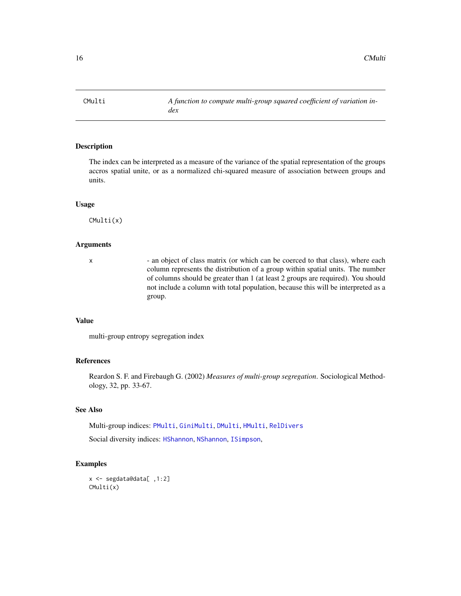<span id="page-15-1"></span><span id="page-15-0"></span>

The index can be interpreted as a measure of the variance of the spatial representation of the groups accros spatial unite, or as a normalized chi-squared measure of association between groups and units.

#### Usage

CMulti(x)

# Arguments

x - an object of class matrix (or which can be coerced to that class), where each column represents the distribution of a group within spatial units. The number of columns should be greater than 1 (at least 2 groups are required). You should not include a column with total population, because this will be interpreted as a group.

# Value

multi-group entropy segregation index

#### References

Reardon S. F. and Firebaugh G. (2002) *Measures of multi-group segregation*. Sociological Methodology, 32, pp. 33-67.

### See Also

Multi-group indices: [PMulti](#page-49-1), [GiniMulti](#page-31-1), [DMulti](#page-25-1), [HMulti](#page-34-1), [RelDivers](#page-62-1)

Social diversity indices: [HShannon](#page-35-1), [NShannon](#page-46-1), [ISimpson](#page-38-1),

```
x <- segdata@data[ ,1:2]
CMulti(x)
```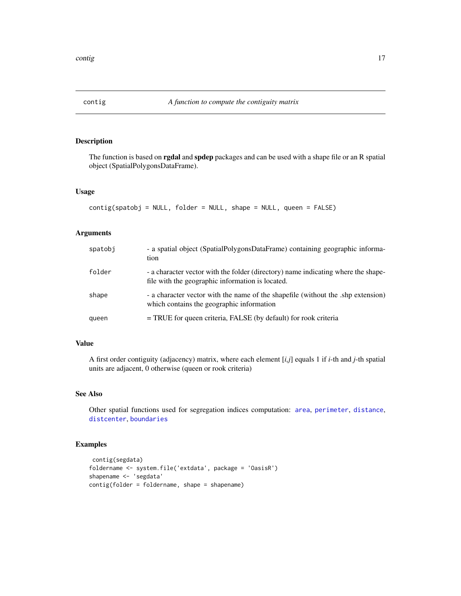<span id="page-16-1"></span><span id="page-16-0"></span>

The function is based on **rgdal** and spdep packages and can be used with a shape file or an R spatial object (SpatialPolygonsDataFrame).

#### Usage

```
contig(spatobj = NULL, folder = NULL, shape = NULL, queen = FALSE)
```
# Arguments

| spatobi | - a spatial object (SpatialPolygonsDataFrame) containing geographic informa-<br>tion                                                  |
|---------|---------------------------------------------------------------------------------------------------------------------------------------|
| folder  | - a character vector with the folder (directory) name indicating where the shape-<br>file with the geographic information is located. |
| shape   | - a character vector with the name of the shapefile (without the .shp extension)<br>which contains the geographic information         |
| queen   | = TRUE for queen criteria, FALSE (by default) for rook criteria                                                                       |

# Value

A first order contiguity (adjacency) matrix, where each element [*i,j*] equals 1 if *i*-th and *j*-th spatial units are adjacent, 0 otherwise (queen or rook criteria)

# See Also

Other spatial functions used for segregation indices computation: [area](#page-12-1), [perimeter](#page-48-1), [distance](#page-21-1), [distcenter](#page-22-1), [boundaries](#page-14-1)

```
contig(segdata)
foldername <- system.file('extdata', package = 'OasisR')
shapename <- 'segdata'
contig(folder = foldername, shape = shapename)
```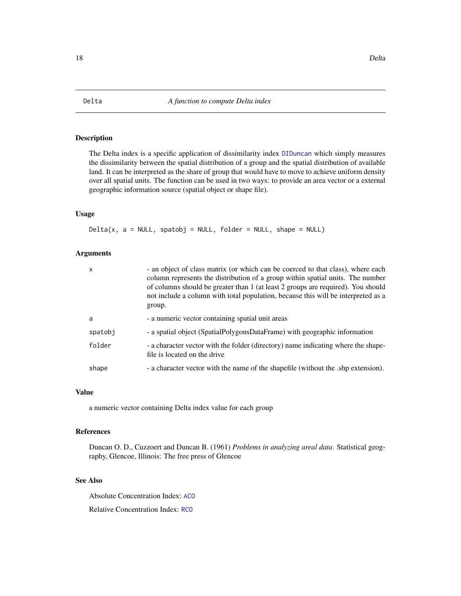<span id="page-17-1"></span><span id="page-17-0"></span>The Delta index is a specific application of dissimilarity index [DIDuncan](#page-18-1) which simply measures the dissimilarity between the spatial distribution of a group and the spatial distribution of available land. It can be interpreted as the share of group that would have to move to achieve uniform density over all spatial units. The function can be used in two ways: to provide an area vector or a external geographic information source (spatial object or shape file).

# Usage

 $Delta(x, a = NULL, spatobj = NULL, folder = NULL, shape = NULL)$ 

#### Arguments

| x       | - an object of class matrix (or which can be coerced to that class), where each<br>column represents the distribution of a group within spatial units. The number<br>of columns should be greater than 1 (at least 2 groups are required). You should<br>not include a column with total population, because this will be interpreted as a<br>group. |
|---------|------------------------------------------------------------------------------------------------------------------------------------------------------------------------------------------------------------------------------------------------------------------------------------------------------------------------------------------------------|
| a       | - a numeric vector containing spatial unit areas                                                                                                                                                                                                                                                                                                     |
| spatobi | - a spatial object (SpatialPolygonsDataFrame) with geographic information                                                                                                                                                                                                                                                                            |
| folder  | - a character vector with the folder (directory) name indicating where the shape-<br>file is located on the drive                                                                                                                                                                                                                                    |
| shape   | - a character vector with the name of the shapefile (without the .shp extension).                                                                                                                                                                                                                                                                    |

#### Value

a numeric vector containing Delta index value for each group

#### References

Duncan O. D., Cuzzoert and Duncan B. (1961) *Problems in analyzing areal data*. Statistical geography, Glencoe, Illinois: The free press of Glencoe

# See Also

Absolute Concentration Index: [ACO](#page-11-1)

Relative Concentration Index: [RCO](#page-61-1)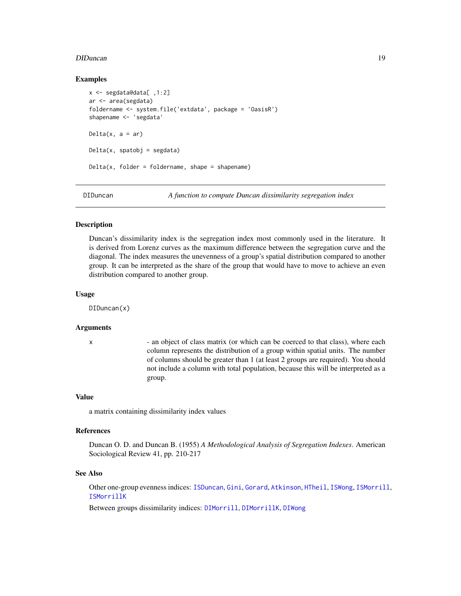#### <span id="page-18-0"></span>DIDuncan 19

#### Examples

```
x <- segdata@data[ ,1:2]
ar <- area(segdata)
foldername <- system.file('extdata', package = 'OasisR')
shapename <- 'segdata'
Delta(x, a = ar)Delta(x, spatobj = segdata)
Delta(x, folder = foldername, shape = shapename)
```
<span id="page-18-1"></span>

DIDuncan *A function to compute Duncan dissimilarity segregation index*

#### Description

Duncan's dissimilarity index is the segregation index most commonly used in the literature. It is derived from Lorenz curves as the maximum difference between the segregation curve and the diagonal. The index measures the unevenness of a group's spatial distribution compared to another group. It can be interpreted as the share of the group that would have to move to achieve an even distribution compared to another group.

#### Usage

DIDuncan(x)

#### Arguments

x - an object of class matrix (or which can be coerced to that class), where each column represents the distribution of a group within spatial units. The number of columns should be greater than 1 (at least 2 groups are required). You should not include a column with total population, because this will be interpreted as a group.

#### Value

a matrix containing dissimilarity index values

#### References

Duncan O. D. and Duncan B. (1955) *A Methodological Analysis of Segregation Indexes*. American Sociological Review 41, pp. 210-217

#### See Also

Other one-group evenness indices: [ISDuncan](#page-37-1), [Gini](#page-29-1), [Gorard](#page-32-1), [Atkinson](#page-13-1), [HTheil](#page-36-1), [ISWong](#page-41-1), [ISMorrill](#page-39-1), [ISMorrillK](#page-40-1)

Between groups dissimilarity indices: [DIMorrill](#page-19-1), [DIMorrillK](#page-20-1), [DIWong](#page-23-1)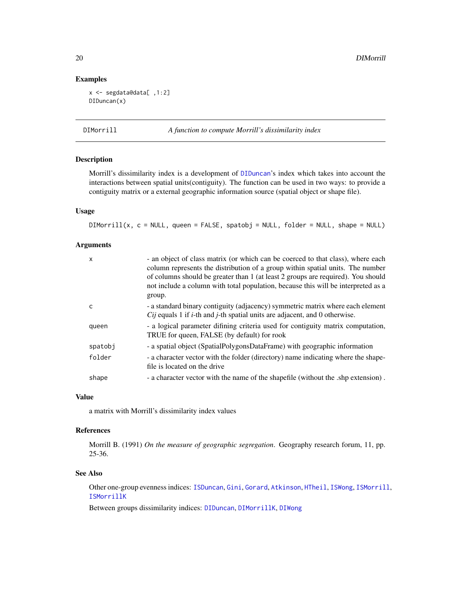#### Examples

```
x <- segdata@data[ ,1:2]
DIDuncan(x)
```
<span id="page-19-1"></span>DIMorrill *A function to compute Morrill's dissimilarity index*

# Description

Morrill's dissimilarity index is a development of [DIDuncan](#page-18-1)'s index which takes into account the interactions between spatial units(contiguity). The function can be used in two ways: to provide a contiguity matrix or a external geographic information source (spatial object or shape file).

# Usage

DIMorrill(x, c = NULL, queen = FALSE, spatobj = NULL, folder = NULL, shape = NULL)

# Arguments

| $\mathsf{x}$ | - an object of class matrix (or which can be coerced to that class), where each<br>column represents the distribution of a group within spatial units. The number<br>of columns should be greater than 1 (at least 2 groups are required). You should<br>not include a column with total population, because this will be interpreted as a |
|--------------|--------------------------------------------------------------------------------------------------------------------------------------------------------------------------------------------------------------------------------------------------------------------------------------------------------------------------------------------|
|              | group.                                                                                                                                                                                                                                                                                                                                     |
| C            | - a standard binary contiguity (adjacency) symmetric matrix where each element<br><i>Cij</i> equals 1 if <i>i</i> -th and <i>j</i> -th spatial units are adjacent, and 0 otherwise.                                                                                                                                                        |
| queen        | - a logical parameter difining criteria used for contiguity matrix computation,<br>TRUE for queen, FALSE (by default) for rook                                                                                                                                                                                                             |
| spatobj      | - a spatial object (SpatialPolygonsDataFrame) with geographic information                                                                                                                                                                                                                                                                  |
| folder       | - a character vector with the folder (directory) name indicating where the shape-<br>file is located on the drive                                                                                                                                                                                                                          |
| shape        | - a character vector with the name of the shapefile (without the shp extension).                                                                                                                                                                                                                                                           |

# Value

a matrix with Morrill's dissimilarity index values

# References

Morrill B. (1991) *On the measure of geographic segregation*. Geography research forum, 11, pp. 25-36.

#### See Also

Other one-group evenness indices: [ISDuncan](#page-37-1), [Gini](#page-29-1), [Gorard](#page-32-1), [Atkinson](#page-13-1), [HTheil](#page-36-1), [ISWong](#page-41-1), [ISMorrill](#page-39-1), [ISMorrillK](#page-40-1)

Between groups dissimilarity indices: [DIDuncan](#page-18-1), [DIMorrillK](#page-20-1), [DIWong](#page-23-1)

<span id="page-19-0"></span>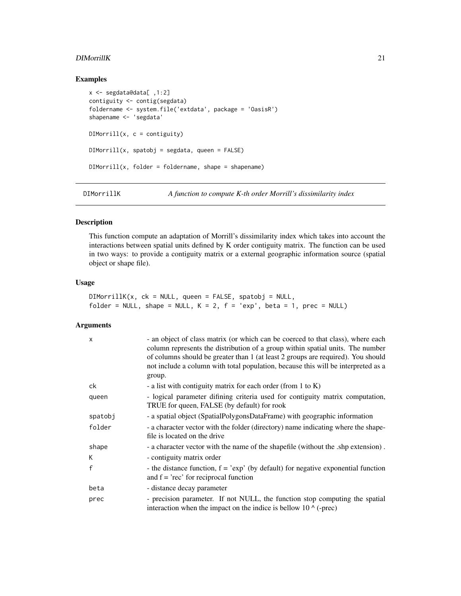#### <span id="page-20-0"></span>**DIMorrillK** 21

# Examples

```
x <- segdata@data[ ,1:2]
contiguity <- contig(segdata)
foldername <- system.file('extdata', package = 'OasisR')
shapename <- 'segdata'
DIMorrill(x, c = contiguity)DIMorrill(x, spatobj = segdata, queen = FALSE)DIMorrill(x, folder = foldername, shape = shapename)
```
<span id="page-20-1"></span>DIMorrillK *A function to compute K-th order Morrill's dissimilarity index*

#### Description

This function compute an adaptation of Morrill's dissimilarity index which takes into account the interactions between spatial units defined by K order contiguity matrix. The function can be used in two ways: to provide a contiguity matrix or a external geographic information source (spatial object or shape file).

#### Usage

 $DIMorrillK(x, ck = NULL, queen = FALSE, spatobj = NULL,$ folder = NULL, shape = NULL,  $K = 2$ ,  $f = 'exp'$ , beta = 1, prec = NULL)

| $\times$ | - an object of class matrix (or which can be coerced to that class), where each<br>column represents the distribution of a group within spatial units. The number<br>of columns should be greater than 1 (at least 2 groups are required). You should<br>not include a column with total population, because this will be interpreted as a<br>group. |
|----------|------------------------------------------------------------------------------------------------------------------------------------------------------------------------------------------------------------------------------------------------------------------------------------------------------------------------------------------------------|
| ck       | - a list with contiguity matrix for each order (from 1 to K)                                                                                                                                                                                                                                                                                         |
| queen    | - logical parameter difining criteria used for contiguity matrix computation,<br>TRUE for queen, FALSE (by default) for rook                                                                                                                                                                                                                         |
| spatobj  | - a spatial object (SpatialPolygonsDataFrame) with geographic information                                                                                                                                                                                                                                                                            |
| folder   | - a character vector with the folder (directory) name indicating where the shape-<br>file is located on the drive                                                                                                                                                                                                                                    |
| shape    | - a character vector with the name of the shapefile (without the .shp extension).                                                                                                                                                                                                                                                                    |
| K        | - contiguity matrix order                                                                                                                                                                                                                                                                                                                            |
| f        | - the distance function, $f = 'exp'$ (by default) for negative exponential function<br>and $f = 'rec'$ for reciprocal function                                                                                                                                                                                                                       |
| beta     | - distance decay parameter                                                                                                                                                                                                                                                                                                                           |
| prec     | - precision parameter. If not NULL, the function stop computing the spatial<br>interaction when the impact on the indice is bellow $10 \wedge (-prec)$                                                                                                                                                                                               |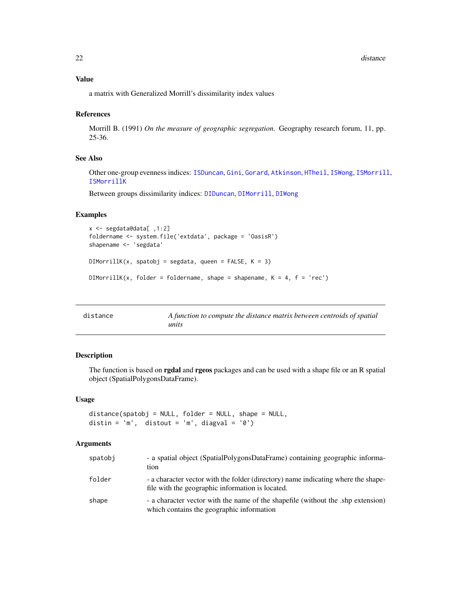#### <span id="page-21-0"></span>Value

a matrix with Generalized Morrill's dissimilarity index values

#### References

Morrill B. (1991) *On the measure of geographic segregation*. Geography research forum, 11, pp. 25-36.

# See Also

Other one-group evenness indices: [ISDuncan](#page-37-1), [Gini](#page-29-1), [Gorard](#page-32-1), [Atkinson](#page-13-1), [HTheil](#page-36-1), [ISWong](#page-41-1), [ISMorrill](#page-39-1), [ISMorrillK](#page-40-1)

Between groups dissimilarity indices: [DIDuncan](#page-18-1), [DIMorrill](#page-19-1), [DIWong](#page-23-1)

#### Examples

```
x <- segdata@data[ ,1:2]
foldername <- system.file('extdata', package = 'OasisR')
shapename <- 'segdata'
DIMorrillK(x, spatobj = segdata, queen = FALSE, K = 3)
DIMorrillK(x, folder = foldername, shape = shapename, K = 4, f = 'rec')
```
<span id="page-21-1"></span>

| distance | A function to compute the distance matrix between centroids of spatial |
|----------|------------------------------------------------------------------------|
|          | units                                                                  |

# Description

The function is based on **rgdal** and **rgeos** packages and can be used with a shape file or an R spatial object (SpatialPolygonsDataFrame).

#### Usage

distance(spatobj = NULL, folder = NULL, shape = NULL, distin =  $'m'$ , distout =  $'m'$ , diagval =  $'0')$ 

| spatobi | - a spatial object (SpatialPolygonsDataFrame) containing geographic informa-<br>tion                                                  |
|---------|---------------------------------------------------------------------------------------------------------------------------------------|
| folder  | - a character vector with the folder (directory) name indicating where the shape-<br>file with the geographic information is located. |
| shape   | - a character vector with the name of the shapefile (without the .shp extension)<br>which contains the geographic information         |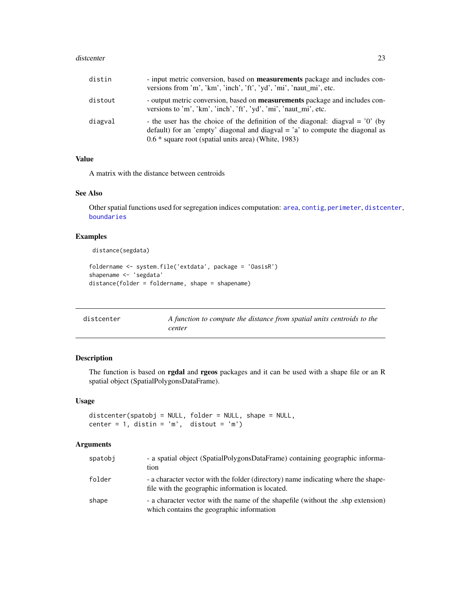#### <span id="page-22-0"></span>distcenter 23

| distin  | - input metric conversion, based on <b>measurements</b> package and includes con-<br>versions from 'm', 'km', 'inch', 'ft', 'yd', 'mi', 'naut_mi', etc.                                                                        |
|---------|--------------------------------------------------------------------------------------------------------------------------------------------------------------------------------------------------------------------------------|
| distout | - output metric conversion, based on <b>measurements</b> package and includes con-<br>versions to 'm', 'km', 'inch', 'ft', 'yd', 'mi', 'naut mi', etc.                                                                         |
| diagval | - the user has the choice of the definition of the diagonal: diagval = $'0'$ (by<br>default) for an 'empty' diagonal and diagonal $= 'a'$ to compute the diagonal as<br>$0.6 *$ square root (spatial units area) (White, 1983) |

# Value

A matrix with the distance between centroids

# See Also

Other spatial functions used for segregation indices computation: [area](#page-12-1), [contig](#page-16-1), [perimeter](#page-48-1), [distcenter](#page-22-1), [boundaries](#page-14-1)

# Examples

```
distance(segdata)
foldername <- system.file('extdata', package = 'OasisR')
shapename <- 'segdata'
distance(folder = foldername, shape = shapename)
```
<span id="page-22-1"></span>

| distcenter | A function to compute the distance from spatial units centroids to the |
|------------|------------------------------------------------------------------------|
|            | center                                                                 |

# Description

The function is based on rgdal and rgeos packages and it can be used with a shape file or an R spatial object (SpatialPolygonsDataFrame).

# Usage

```
distcenter(spatobj = NULL, folder = NULL, shape = NULL,
center = 1, distin = 'm', distout = 'm')
```

| spatobi | - a spatial object (SpatialPolygonsDataFrame) containing geographic informa-<br>tion                                                  |
|---------|---------------------------------------------------------------------------------------------------------------------------------------|
| folder  | - a character vector with the folder (directory) name indicating where the shape-<br>file with the geographic information is located. |
| shape   | - a character vector with the name of the shapefile (without the .shp extension)<br>which contains the geographic information         |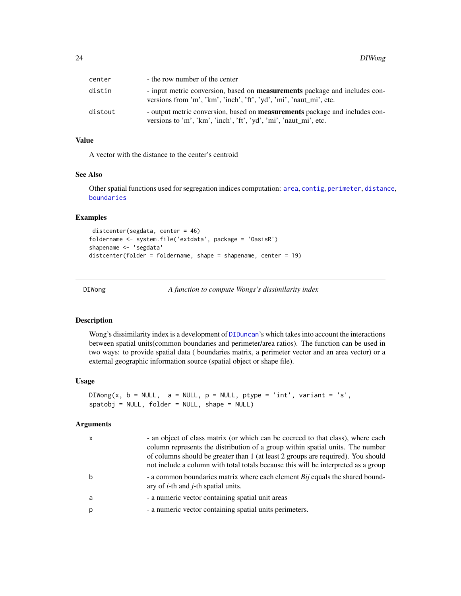<span id="page-23-0"></span>

| center  | - the row number of the center                                                                                                                          |
|---------|---------------------------------------------------------------------------------------------------------------------------------------------------------|
| distin  | - input metric conversion, based on <b>measurements</b> package and includes con-<br>versions from 'm', 'km', 'inch', 'ft', 'yd', 'mi', 'naut_mi', etc. |
| distout | - output metric conversion, based on <b>measurements</b> package and includes con-<br>versions to 'm', 'km', 'inch', 'ft', 'yd', 'mi', 'naut_mi', etc.  |

# Value

A vector with the distance to the center's centroid

# See Also

Other spatial functions used for segregation indices computation: [area](#page-12-1), [contig](#page-16-1), [perimeter](#page-48-1), [distance](#page-21-1), [boundaries](#page-14-1)

#### Examples

```
distcenter(segdata, center = 46)
foldername <- system.file('extdata', package = 'OasisR')
shapename <- 'segdata'
distcenter(folder = foldername, shape = shapename, center = 19)
```
<span id="page-23-1"></span>DIWong *A function to compute Wongs's dissimilarity index*

#### Description

Wong's dissimilarity index is a development of [DIDuncan](#page-18-1)'s which takes into account the interactions between spatial units(common boundaries and perimeter/area ratios). The function can be used in two ways: to provide spatial data ( boundaries matrix, a perimeter vector and an area vector) or a external geographic information source (spatial object or shape file).

#### Usage

```
DIWong(x, b = NULL, a = NULL, p = NULL, ptype = 'int', variant = 's',spatobj = NULL, folder = NULL, shape = NULL)
```

| $\mathsf{x}$ | - an object of class matrix (or which can be coerced to that class), where each<br>column represents the distribution of a group within spatial units. The number<br>of columns should be greater than 1 (at least 2 groups are required). You should<br>not include a column with total totals because this will be interpreted as a group |
|--------------|---------------------------------------------------------------------------------------------------------------------------------------------------------------------------------------------------------------------------------------------------------------------------------------------------------------------------------------------|
| b            | - a common boundaries matrix where each element Bij equals the shared bound-<br>ary of $i$ -th and $j$ -th spatial units.                                                                                                                                                                                                                   |
| a            | - a numeric vector containing spatial unit areas                                                                                                                                                                                                                                                                                            |
| p            | - a numeric vector containing spatial units perimeters.                                                                                                                                                                                                                                                                                     |
|              |                                                                                                                                                                                                                                                                                                                                             |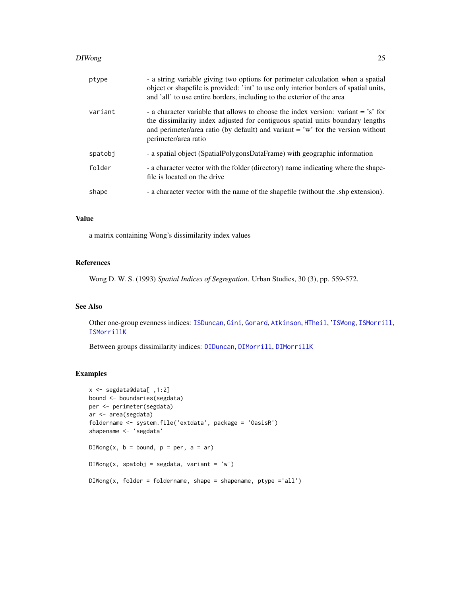#### DIWong 25

| ptype   | - a string variable giving two options for perimeter calculation when a spatial<br>object or shapefile is provided: 'int' to use only interior borders of spatial units,<br>and 'all' to use entire borders, including to the exterior of the area                               |
|---------|----------------------------------------------------------------------------------------------------------------------------------------------------------------------------------------------------------------------------------------------------------------------------------|
| variant | - a character variable that allows to choose the index version: variant = 's' for<br>the dissimilarity index adjusted for contiguous spatial units boundary lengths<br>and perimeter/area ratio (by default) and variant $=$ 'w' for the version without<br>perimeter/area ratio |
| spatobi | - a spatial object (SpatialPolygonsDataFrame) with geographic information                                                                                                                                                                                                        |
| folder  | - a character vector with the folder (directory) name indicating where the shape-<br>file is located on the drive                                                                                                                                                                |
| shape   | - a character vector with the name of the shapefile (without the shp extension).                                                                                                                                                                                                 |

# Value

a matrix containing Wong's dissimilarity index values

# References

Wong D. W. S. (1993) *Spatial Indices of Segregation*. Urban Studies, 30 (3), pp. 559-572.

# See Also

Other one-group evenness indices: [ISDuncan](#page-37-1), [Gini](#page-29-1), [Gorard](#page-32-1), [Atkinson](#page-13-1), [HTheil](#page-36-1), '[ISWong](#page-41-1), [ISMorrill](#page-39-1), [ISMorrillK](#page-40-1)

Between groups dissimilarity indices: [DIDuncan](#page-18-1), [DIMorrill](#page-19-1), [DIMorrillK](#page-20-1)

```
x <- segdata@data[ ,1:2]
bound <- boundaries(segdata)
per <- perimeter(segdata)
ar <- area(segdata)
foldername <- system.file('extdata', package = 'OasisR')
shapename <- 'segdata'
DIWong(x, b = bound, p = per, a = ar)
DIWong(x, spatobj = segdata, variant = 'w')
DIWong(x, folder = foldername, shape = shapename, pipe = 'all')
```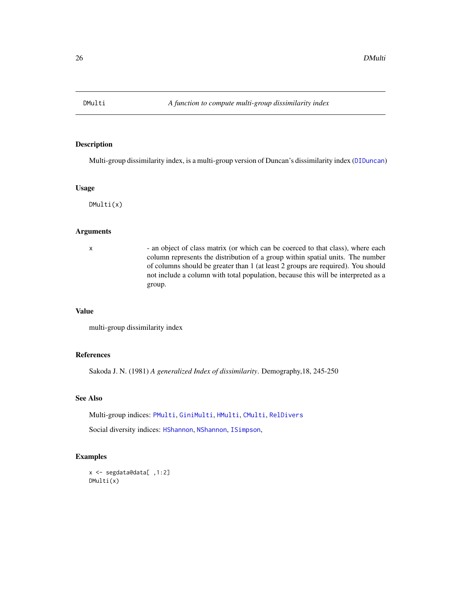<span id="page-25-1"></span><span id="page-25-0"></span>

Multi-group dissimilarity index, is a multi-group version of Duncan's dissimilarity index ([DIDuncan](#page-18-1))

#### Usage

DMulti(x)

# Arguments

x - an object of class matrix (or which can be coerced to that class), where each column represents the distribution of a group within spatial units. The number of columns should be greater than 1 (at least 2 groups are required). You should not include a column with total population, because this will be interpreted as a group.

#### Value

multi-group dissimilarity index

# References

Sakoda J. N. (1981) *A generalized Index of dissimilarity*. Demography,18, 245-250

#### See Also

Multi-group indices: [PMulti](#page-49-1), [GiniMulti](#page-31-1), [HMulti](#page-34-1), [CMulti](#page-15-1), [RelDivers](#page-62-1)

Social diversity indices: [HShannon](#page-35-1), [NShannon](#page-46-1), [ISimpson](#page-38-1),

```
x <- segdata@data[ ,1:2]
DMulti(x)
```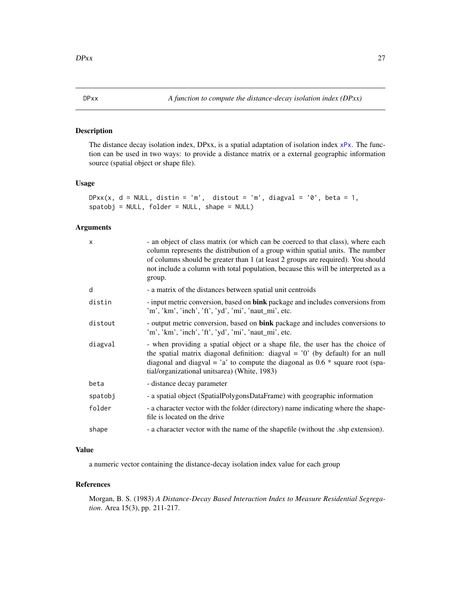<span id="page-26-1"></span><span id="page-26-0"></span>

The distance decay isolation index, DPxx, is a spatial adaptation of isolation index [xPx](#page-74-1). The function can be used in two ways: to provide a distance matrix or a external geographic information source (spatial object or shape file).

# Usage

```
DPxx(x, d = NULL, distin = 'm', distout = 'm', diagval = '0', beta = 1,
spatobj = NULL, folder = NULL, shape = NULL)
```
# Arguments

| $\times$ | - an object of class matrix (or which can be coerced to that class), where each<br>column represents the distribution of a group within spatial units. The number<br>of columns should be greater than 1 (at least 2 groups are required). You should<br>not include a column with total population, because this will be interpreted as a<br>group. |
|----------|------------------------------------------------------------------------------------------------------------------------------------------------------------------------------------------------------------------------------------------------------------------------------------------------------------------------------------------------------|
| d        | - a matrix of the distances between spatial unit centroids                                                                                                                                                                                                                                                                                           |
| distin   | - input metric conversion, based on <b>bink</b> package and includes conversions from<br>'m', 'km', 'inch', 'ft', 'yd', 'mi', 'naut_mi', etc.                                                                                                                                                                                                        |
| distout  | - output metric conversion, based on <b>bink</b> package and includes conversions to<br>'m', 'km', 'inch', 'ft', 'yd', 'mi', 'naut_mi', etc.                                                                                                                                                                                                         |
| diagval  | - when providing a spatial object or a shape file, the user has the choice of<br>the spatial matrix diagonal definition: diagval = $'0'$ (by default) for an null<br>diagonal and diagval = $a$ to compute the diagonal as 0.6 $*$ square root (spa-<br>tial/organizational unitsarea) (White, 1983)                                                 |
| beta     | - distance decay parameter                                                                                                                                                                                                                                                                                                                           |
| spatobj  | - a spatial object (SpatialPolygonsDataFrame) with geographic information                                                                                                                                                                                                                                                                            |
| folder   | - a character vector with the folder (directory) name indicating where the shape-<br>file is located on the drive                                                                                                                                                                                                                                    |
| shape    | - a character vector with the name of the shapefile (without the .shp extension).                                                                                                                                                                                                                                                                    |

# Value

a numeric vector containing the distance-decay isolation index value for each group

# References

Morgan, B. S. (1983) *A Distance-Decay Based Interaction Index to Measure Residential Segregation*. Area 15(3), pp. 211-217.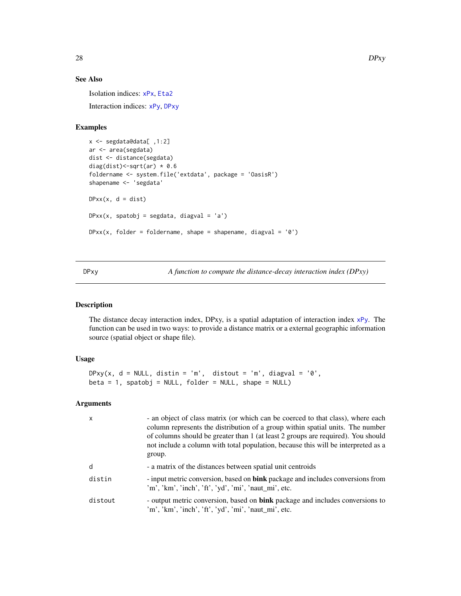# See Also

Isolation indices: [xPx](#page-74-1), [Eta2](#page-28-1) Interaction indices: [xPy](#page-75-1), [DPxy](#page-27-1)

# Examples

```
x <- segdata@data[ ,1:2]
ar <- area(segdata)
dist <- distance(segdata)
diag(dist) <- sqrt(ar) * 0.6
foldername <- system.file('extdata', package = 'OasisR')
shapename <- 'segdata'
DPxx(x, d = dist)DPxx(x, spatobj = segdata, diagval = 'a')DPxx(x, folder = foldername, shape = shapename, diagonal = '0')
```
<span id="page-27-1"></span>DPxy *A function to compute the distance-decay interaction index (DPxy)*

#### Description

The distance decay interaction index, DPxy, is a spatial adaptation of interaction index [xPy](#page-75-1). The function can be used in two ways: to provide a distance matrix or a external geographic information source (spatial object or shape file).

# Usage

```
DPxy(x, d = NULL, distin = 'm', distout = 'm', diagval = '0',beta = 1, spatobj = NULL, folder = NULL, shape = NULL)
```

| $\mathsf{x}$ | - an object of class matrix (or which can be coerced to that class), where each<br>column represents the distribution of a group within spatial units. The number<br>of columns should be greater than 1 (at least 2 groups are required). You should<br>not include a column with total population, because this will be interpreted as a<br>group. |
|--------------|------------------------------------------------------------------------------------------------------------------------------------------------------------------------------------------------------------------------------------------------------------------------------------------------------------------------------------------------------|
| d            | - a matrix of the distances between spatial unit centroids                                                                                                                                                                                                                                                                                           |
| distin       | - input metric conversion, based on bink package and includes conversions from<br>'m', 'km', 'inch', 'ft', 'yd', 'mi', 'naut_mi', etc.                                                                                                                                                                                                               |
| distout      | - output metric conversion, based on <b>bink</b> package and includes conversions to<br>'m', 'km', 'inch', 'ft', 'yd', 'mi', 'naut_mi', etc.                                                                                                                                                                                                         |

<span id="page-27-0"></span>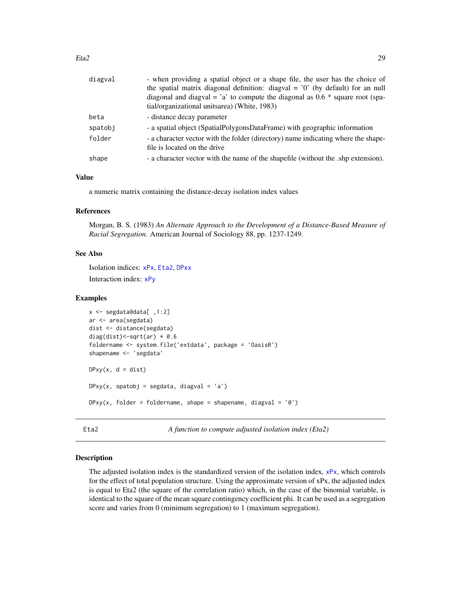<span id="page-28-0"></span>

| diagval | - when providing a spatial object or a shape file, the user has the choice of                                     |
|---------|-------------------------------------------------------------------------------------------------------------------|
|         | the spatial matrix diagonal definition: diagval = $'0'$ (by default) for an null                                  |
|         | diagonal and diagval = $a$ to compute the diagonal as 0.6 $*$ square root (spa-                                   |
|         | tial/organizational unitsarea) (White, 1983)                                                                      |
| beta    | - distance decay parameter                                                                                        |
| spatobj | - a spatial object (SpatialPolygonsDataFrame) with geographic information                                         |
| folder  | - a character vector with the folder (directory) name indicating where the shape-<br>file is located on the drive |
| shape   | - a character vector with the name of the shapefile (without the shp extension).                                  |

# Value

a numeric matrix containing the distance-decay isolation index values

# References

Morgan, B. S. (1983) *An Alternate Approach to the Development of a Distance-Based Measure of Racial Segregation*. American Journal of Sociology 88, pp. 1237-1249.

# See Also

Isolation indices: [xPx](#page-74-1), [Eta2](#page-28-1), [DPxx](#page-26-1) Interaction index: [xPy](#page-75-1)

# Examples

```
x <- segdata@data[ ,1:2]
ar <- area(segdata)
dist <- distance(segdata)
diag(dist) <- sqrt(ar) * 0.6
foldername <- system.file('extdata', package = 'OasisR')
shapename <- 'segdata'
DPxy(x, d = dist)DPy(x, spatobj = segdata, diagval = 'a')DPxy(x, folder = foldername, shape = shapename, diagval = '0')
```
<span id="page-28-1"></span>Eta2 *A function to compute adjusted isolation index (Eta2)*

#### Description

The adjusted isolation index is the standardized version of the isolation index,  $xPx$ , which controls for the effect of total population structure. Using the approximate version of xPx, the adjusted index is equal to Eta2 (the square of the correlation ratio) which, in the case of the binomial variable, is identical to the square of the mean square contingency coefficient phi. It can be used as a segregation score and varies from 0 (minimum segregation) to 1 (maximum segregation).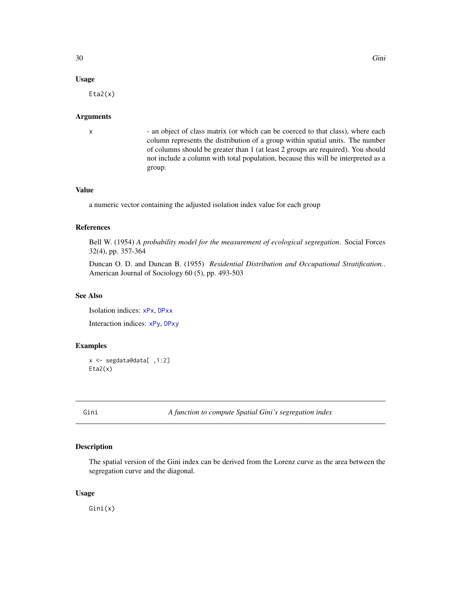# <span id="page-29-0"></span>Usage

Eta2(x)

#### Arguments

x - an object of class matrix (or which can be coerced to that class), where each column represents the distribution of a group within spatial units. The number of columns should be greater than 1 (at least 2 groups are required). You should not include a column with total population, because this will be interpreted as a group.

# Value

a numeric vector containing the adjusted isolation index value for each group

# References

Bell W. (1954) *A probability model for the measurement of ecological segregation*. Social Forces 32(4), pp. 357-364

Duncan O. D. and Duncan B. (1955) *Residential Distribution and Occupational Stratification.*. American Journal of Sociology 60 (5), pp. 493-503

# See Also

Isolation indices: [xPx](#page-74-1), [DPxx](#page-26-1) Interaction indices: [xPy](#page-75-1), [DPxy](#page-27-1)

# Examples

```
x <- segdata@data[ ,1:2]
Eta2(x)
```
<span id="page-29-1"></span>Gini *A function to compute Spatial Gini's segregation index*

### Description

The spatial version of the Gini index can be derived from the Lorenz curve as the area between the segregation curve and the diagonal.

# Usage

Gini(x)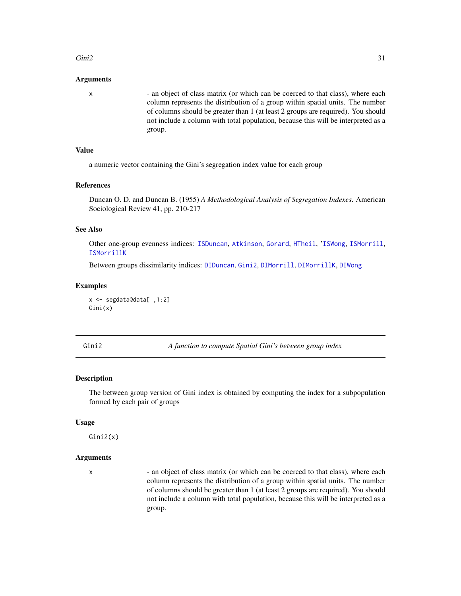#### <span id="page-30-0"></span> $Gini2$  31

#### Arguments

x - an object of class matrix (or which can be coerced to that class), where each column represents the distribution of a group within spatial units. The number of columns should be greater than 1 (at least 2 groups are required). You should not include a column with total population, because this will be interpreted as a group.

# Value

a numeric vector containing the Gini's segregation index value for each group

#### References

Duncan O. D. and Duncan B. (1955) *A Methodological Analysis of Segregation Indexes*. American Sociological Review 41, pp. 210-217

# See Also

Other one-group evenness indices: [ISDuncan](#page-37-1), [Atkinson](#page-13-1), [Gorard](#page-32-1), [HTheil](#page-36-1), '[ISWong](#page-41-1), [ISMorrill](#page-39-1), [ISMorrillK](#page-40-1)

Between groups dissimilarity indices: [DIDuncan](#page-18-1), [Gini2](#page-30-1), [DIMorrill](#page-19-1), [DIMorrillK](#page-20-1), [DIWong](#page-23-1)

#### Examples

```
x <- segdata@data[ ,1:2]
Gini(x)
```
<span id="page-30-1"></span>

Gini2 *A function to compute Spatial Gini's between group index*

#### Description

The between group version of Gini index is obtained by computing the index for a subpopulation formed by each pair of groups

#### Usage

Gini2(x)

#### Arguments

x - an object of class matrix (or which can be coerced to that class), where each column represents the distribution of a group within spatial units. The number of columns should be greater than 1 (at least 2 groups are required). You should not include a column with total population, because this will be interpreted as a group.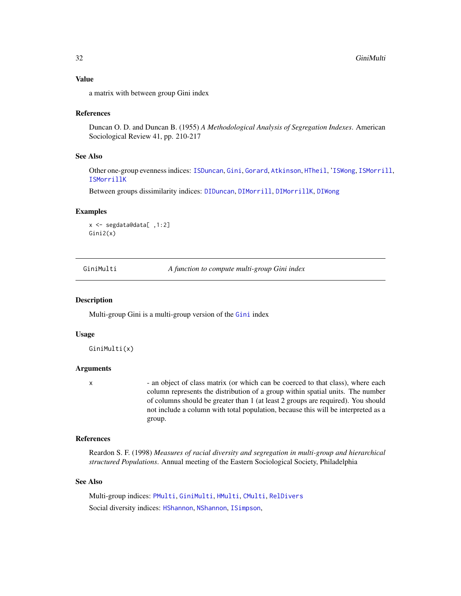# <span id="page-31-0"></span>Value

a matrix with between group Gini index

#### References

Duncan O. D. and Duncan B. (1955) *A Methodological Analysis of Segregation Indexes*. American Sociological Review 41, pp. 210-217

#### See Also

Other one-group evenness indices: [ISDuncan](#page-37-1), [Gini](#page-29-1), [Gorard](#page-32-1), [Atkinson](#page-13-1), [HTheil](#page-36-1), '[ISWong](#page-41-1), [ISMorrill](#page-39-1), [ISMorrillK](#page-40-1)

Between groups dissimilarity indices: [DIDuncan](#page-18-1), [DIMorrill](#page-19-1), [DIMorrillK](#page-20-1), [DIWong](#page-23-1)

#### Examples

```
x <- segdata@data[ ,1:2]
Gini2(x)
```
<span id="page-31-1"></span>GiniMulti *A function to compute multi-group Gini index*

#### **Description**

Multi-group Gini is a multi-group version of the [Gini](#page-29-1) index

#### Usage

GiniMulti(x)

#### Arguments

x - an object of class matrix (or which can be coerced to that class), where each column represents the distribution of a group within spatial units. The number of columns should be greater than 1 (at least 2 groups are required). You should not include a column with total population, because this will be interpreted as a group.

#### References

Reardon S. F. (1998) *Measures of racial diversity and segregation in multi-group and hierarchical structured Populations*. Annual meeting of the Eastern Sociological Society, Philadelphia

# See Also

Multi-group indices: [PMulti](#page-49-1), [GiniMulti](#page-31-1), [HMulti](#page-34-1), [CMulti](#page-15-1), [RelDivers](#page-62-1) Social diversity indices: [HShannon](#page-35-1), [NShannon](#page-46-1), [ISimpson](#page-38-1),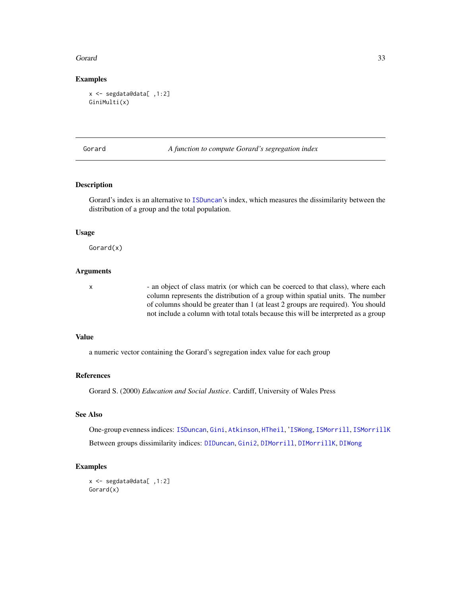#### <span id="page-32-0"></span>Gorard 33

#### Examples

```
x <- segdata@data[ ,1:2]
GiniMulti(x)
```
<span id="page-32-1"></span>Gorard *A function to compute Gorard's segregation index*

# Description

Gorard's index is an alternative to [ISDuncan](#page-37-1)'s index, which measures the dissimilarity between the distribution of a group and the total population.

#### Usage

Gorard(x)

# Arguments

x - an object of class matrix (or which can be coerced to that class), where each column represents the distribution of a group within spatial units. The number of columns should be greater than 1 (at least 2 groups are required). You should not include a column with total totals because this will be interpreted as a group

# Value

a numeric vector containing the Gorard's segregation index value for each group

#### References

Gorard S. (2000) *Education and Social Justice*. Cardiff, University of Wales Press

# See Also

One-group evenness indices: [ISDuncan](#page-37-1), [Gini](#page-29-1), [Atkinson](#page-13-1), [HTheil](#page-36-1), '[ISWong](#page-41-1), [ISMorrill](#page-39-1), [ISMorrillK](#page-40-1) Between groups dissimilarity indices: [DIDuncan](#page-18-1), [Gini2](#page-30-1), [DIMorrill](#page-19-1), [DIMorrillK](#page-20-1), [DIWong](#page-23-1)

```
x <- segdata@data[ ,1:2]
Gorard(x)
```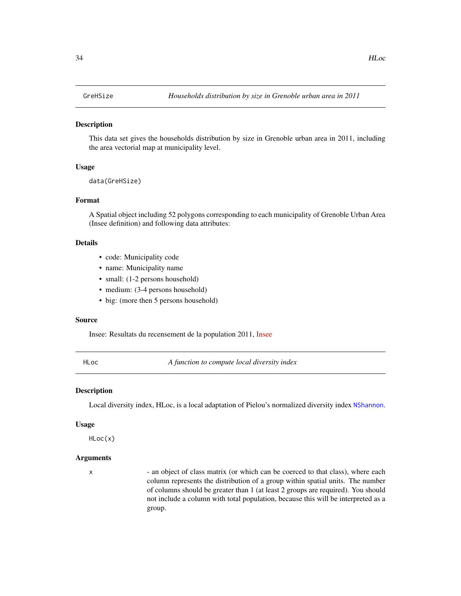<span id="page-33-0"></span>This data set gives the households distribution by size in Grenoble urban area in 2011, including the area vectorial map at municipality level.

#### Usage

data(GreHSize)

#### Format

A Spatial object including 52 polygons corresponding to each municipality of Grenoble Urban Area (Insee definition) and following data attributes:

# Details

- code: Municipality code
- name: Municipality name
- small: (1-2 persons household)
- medium: (3-4 persons household)
- big: (more then 5 persons household)

#### Source

Insee: Resultats du recensement de la population 2011, [Insee](http://www.insee.fr/)

HLoc *A function to compute local diversity index*

### **Description**

Local diversity index, HLoc, is a local adaptation of Pielou's normalized diversity index [NShannon](#page-46-1).

#### Usage

HLoc(x)

# Arguments

x - an object of class matrix (or which can be coerced to that class), where each column represents the distribution of a group within spatial units. The number of columns should be greater than 1 (at least 2 groups are required). You should not include a column with total population, because this will be interpreted as a group.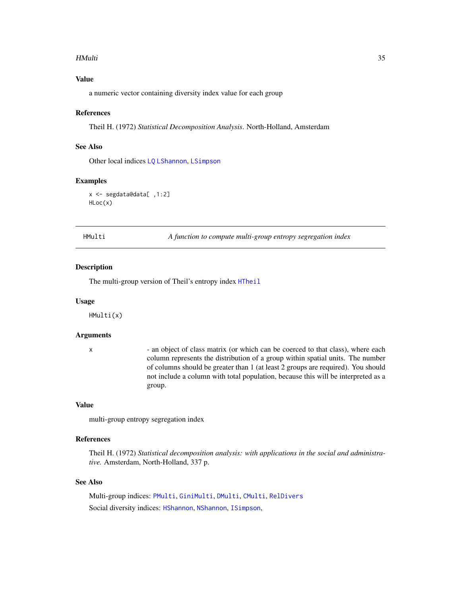#### <span id="page-34-0"></span>HMulti 35

# Value

a numeric vector containing diversity index value for each group

#### References

Theil H. (1972) *Statistical Decomposition Analysis*. North-Holland, Amsterdam

# See Also

Other local indices [LQ](#page-43-1) [LShannon](#page-44-1), [LSimpson](#page-45-1)

#### Examples

```
x <- segdata@data[ ,1:2]
HLoc(x)
```
HMulti *A function to compute multi-group entropy segregation index*

#### Description

The multi-group version of Theil's entropy index [HTheil](#page-36-1)

#### Usage

HMulti(x)

### Arguments

x - an object of class matrix (or which can be coerced to that class), where each column represents the distribution of a group within spatial units. The number of columns should be greater than 1 (at least 2 groups are required). You should not include a column with total population, because this will be interpreted as a group.

# Value

multi-group entropy segregation index

# References

Theil H. (1972) *Statistical decomposition analysis: with applications in the social and administrative.* Amsterdam, North-Holland, 337 p.

# See Also

Multi-group indices: [PMulti](#page-49-1), [GiniMulti](#page-31-1), [DMulti](#page-25-1), [CMulti](#page-15-1), [RelDivers](#page-62-1) Social diversity indices: [HShannon](#page-35-1), [NShannon](#page-46-1), [ISimpson](#page-38-1),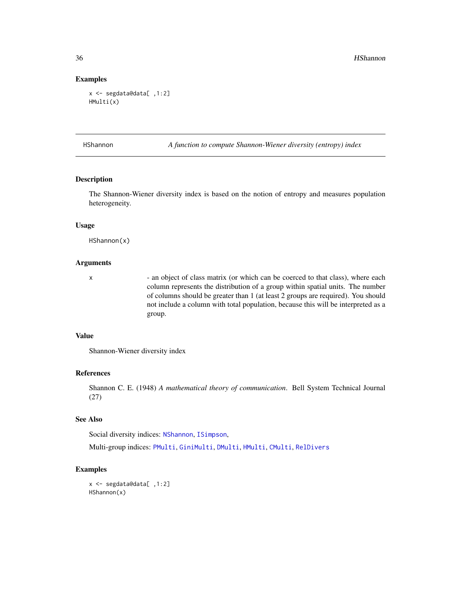#### Examples

```
x <- segdata@data[ ,1:2]
HMulti(x)
```
<span id="page-35-1"></span>HShannon *A function to compute Shannon-Wiener diversity (entropy) index*

# Description

The Shannon-Wiener diversity index is based on the notion of entropy and measures population heterogeneity.

#### Usage

HShannon(x)

# Arguments

x - an object of class matrix (or which can be coerced to that class), where each column represents the distribution of a group within spatial units. The number of columns should be greater than 1 (at least 2 groups are required). You should not include a column with total population, because this will be interpreted as a group.

## Value

Shannon-Wiener diversity index

#### References

Shannon C. E. (1948) *A mathematical theory of communication*. Bell System Technical Journal (27)

# See Also

Social diversity indices: [NShannon](#page-46-1), [ISimpson](#page-38-1),

Multi-group indices: [PMulti](#page-49-1), [GiniMulti](#page-31-1), [DMulti](#page-25-1), [HMulti](#page-34-1), [CMulti](#page-15-1), [RelDivers](#page-62-1)

```
x <- segdata@data[ ,1:2]
HShannon(x)
```
<span id="page-35-0"></span>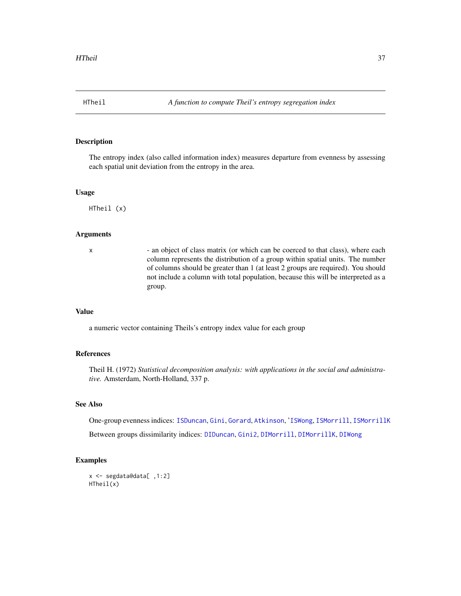<span id="page-36-0"></span>

The entropy index (also called information index) measures departure from evenness by assessing each spatial unit deviation from the entropy in the area.

#### Usage

HTheil (x)

## **Arguments**

x - an object of class matrix (or which can be coerced to that class), where each column represents the distribution of a group within spatial units. The number of columns should be greater than 1 (at least 2 groups are required). You should not include a column with total population, because this will be interpreted as a group.

#### Value

a numeric vector containing Theils's entropy index value for each group

## References

Theil H. (1972) *Statistical decomposition analysis: with applications in the social and administrative.* Amsterdam, North-Holland, 337 p.

## See Also

One-group evenness indices: [ISDuncan](#page-37-0), [Gini](#page-29-0), [Gorard](#page-32-0), [Atkinson](#page-13-0), '[ISWong](#page-41-0), [ISMorrill](#page-39-0), [ISMorrillK](#page-40-0)

Between groups dissimilarity indices: [DIDuncan](#page-18-0), [Gini2](#page-30-0), [DIMorrill](#page-19-0), [DIMorrillK](#page-20-0), [DIWong](#page-23-0)

```
x <- segdata@data[ ,1:2]
HTheil(x)
```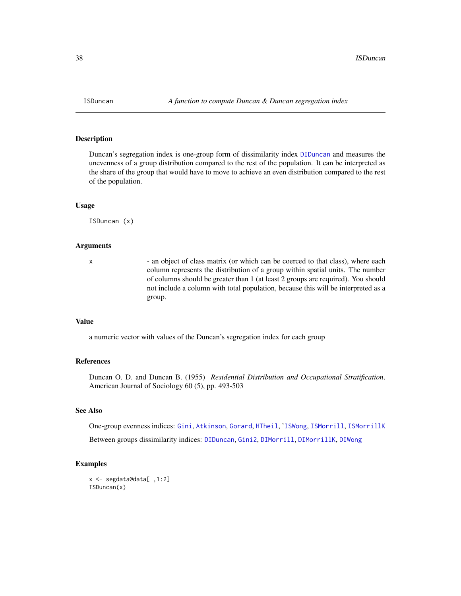<span id="page-37-0"></span>

Duncan's segregation index is one-group form of dissimilarity index [DIDuncan](#page-18-0) and measures the unevenness of a group distribution compared to the rest of the population. It can be interpreted as the share of the group that would have to move to achieve an even distribution compared to the rest of the population.

#### Usage

ISDuncan (x)

#### Arguments

x - an object of class matrix (or which can be coerced to that class), where each column represents the distribution of a group within spatial units. The number of columns should be greater than 1 (at least 2 groups are required). You should not include a column with total population, because this will be interpreted as a group.

#### Value

a numeric vector with values of the Duncan's segregation index for each group

#### References

Duncan O. D. and Duncan B. (1955) *Residential Distribution and Occupational Stratification*. American Journal of Sociology 60 (5), pp. 493-503

## See Also

One-group evenness indices: [Gini](#page-29-0), [Atkinson](#page-13-0), [Gorard](#page-32-0), [HTheil](#page-36-0), '[ISWong](#page-41-0), [ISMorrill](#page-39-0), [ISMorrillK](#page-40-0)

Between groups dissimilarity indices: [DIDuncan](#page-18-0), [Gini2](#page-30-0), [DIMorrill](#page-19-0), [DIMorrillK](#page-20-0), [DIWong](#page-23-0)

```
x <- segdata@data[ ,1:2]
ISDuncan(x)
```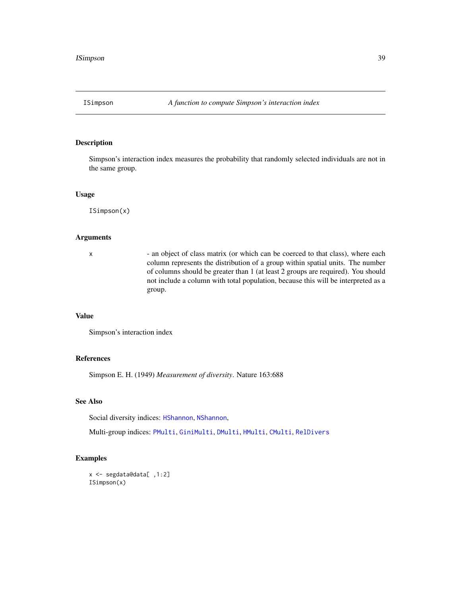<span id="page-38-0"></span>

Simpson's interaction index measures the probability that randomly selected individuals are not in the same group.

#### Usage

ISimpson(x)

## Arguments

x - an object of class matrix (or which can be coerced to that class), where each column represents the distribution of a group within spatial units. The number of columns should be greater than 1 (at least 2 groups are required). You should not include a column with total population, because this will be interpreted as a group.

## Value

Simpson's interaction index

## References

Simpson E. H. (1949) *Measurement of diversity*. Nature 163:688

## See Also

Social diversity indices: [HShannon](#page-35-0), [NShannon](#page-46-0),

Multi-group indices: [PMulti](#page-49-0), [GiniMulti](#page-31-0), [DMulti](#page-25-0), [HMulti](#page-34-0), [CMulti](#page-15-0), [RelDivers](#page-62-0)

```
x <- segdata@data[ ,1:2]
ISimpson(x)
```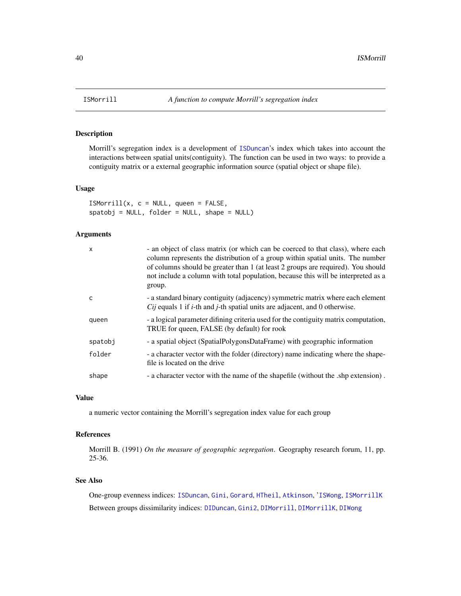<span id="page-39-0"></span>

Morrill's segregation index is a development of [ISDuncan](#page-37-0)'s index which takes into account the interactions between spatial units(contiguity). The function can be used in two ways: to provide a contiguity matrix or a external geographic information source (spatial object or shape file).

#### Usage

 $ISMorrill(x, c = NULL, queen = FALSE,$  $spatobj = NULL, folder = NULL, shape = NULL)$ 

## Arguments

| X       | - an object of class matrix (or which can be coerced to that class), where each<br>column represents the distribution of a group within spatial units. The number<br>of columns should be greater than 1 (at least 2 groups are required). You should<br>not include a column with total population, because this will be interpreted as a<br>group. |
|---------|------------------------------------------------------------------------------------------------------------------------------------------------------------------------------------------------------------------------------------------------------------------------------------------------------------------------------------------------------|
| C       | - a standard binary contiguity (adjacency) symmetric matrix where each element<br><i>Cij</i> equals 1 if <i>i</i> -th and <i>j</i> -th spatial units are adjacent, and 0 otherwise.                                                                                                                                                                  |
| queen   | - a logical parameter difining criteria used for the contiguity matrix computation,<br>TRUE for queen, FALSE (by default) for rook                                                                                                                                                                                                                   |
| spatobj | - a spatial object (SpatialPolygonsDataFrame) with geographic information                                                                                                                                                                                                                                                                            |
| folder  | - a character vector with the folder (directory) name indicating where the shape-<br>file is located on the drive                                                                                                                                                                                                                                    |
| shape   | - a character vector with the name of the shapefile (without the .shp extension).                                                                                                                                                                                                                                                                    |

## Value

a numeric vector containing the Morrill's segregation index value for each group

## References

Morrill B. (1991) *On the measure of geographic segregation*. Geography research forum, 11, pp. 25-36.

# See Also

One-group evenness indices: [ISDuncan](#page-37-0), [Gini](#page-29-0), [Gorard](#page-32-0), [HTheil](#page-36-0), [Atkinson](#page-13-0), '[ISWong](#page-41-0), [ISMorrillK](#page-40-0) Between groups dissimilarity indices: [DIDuncan](#page-18-0), [Gini2](#page-30-0), [DIMorrill](#page-19-0), [DIMorrillK](#page-20-0), [DIWong](#page-23-0)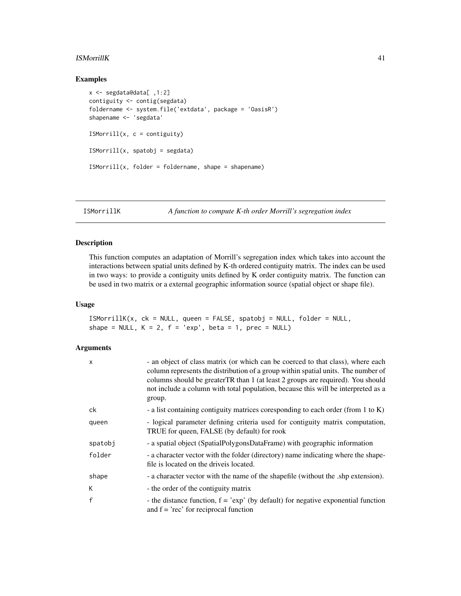#### **ISMorrillK** 41

#### Examples

```
x <- segdata@data[ ,1:2]
contiguity <- contig(segdata)
foldername <- system.file('extdata', package = 'OasisR')
shapename <- 'segdata'
ISMorrill(x, c = \text{contiguity})ISMorrill(x, spatobj = segdata)
ISMorrill(x, folder = foldername, shape = shapename)
```
<span id="page-40-0"></span>ISMorrillK *A function to compute K-th order Morrill's segregation index*

## Description

This function computes an adaptation of Morrill's segregation index which takes into account the interactions between spatial units defined by K-th ordered contiguity matrix. The index can be used in two ways: to provide a contiguity units defined by K order contiguity matrix. The function can be used in two matrix or a external geographic information source (spatial object or shape file).

#### Usage

```
ISMorrillK(x, ck = NULL, queen = FALSE, spatobj = NULL, folder = NULL,
shape = NULL, K = 2, f = 'exp', beta = 1, prec = NULL)
```
## Arguments

| x       | - an object of class matrix (or which can be coerced to that class), where each<br>column represents the distribution of a group within spatial units. The number of<br>columns should be greater TR than 1 (at least 2 groups are required). You should<br>not include a column with total population, because this will be interpreted as a<br>group. |
|---------|---------------------------------------------------------------------------------------------------------------------------------------------------------------------------------------------------------------------------------------------------------------------------------------------------------------------------------------------------------|
| ck      | - a list containing contiguity matrices coresponding to each order (from 1 to K)                                                                                                                                                                                                                                                                        |
| queen   | - logical parameter defining criteria used for contiguity matrix computation,<br>TRUE for queen, FALSE (by default) for rook                                                                                                                                                                                                                            |
| spatobj | - a spatial object (SpatialPolygonsDataFrame) with geographic information                                                                                                                                                                                                                                                                               |
| folder  | - a character vector with the folder (directory) name indicating where the shape-<br>file is located on the drive is located.                                                                                                                                                                                                                           |
| shape   | - a character vector with the name of the shapefile (without the .shp extension).                                                                                                                                                                                                                                                                       |
| K       | - the order of the contiguity matrix                                                                                                                                                                                                                                                                                                                    |
| f       | - the distance function, $f = 'exp'$ (by default) for negative exponential function<br>and $f = 'rec'$ for reciprocal function                                                                                                                                                                                                                          |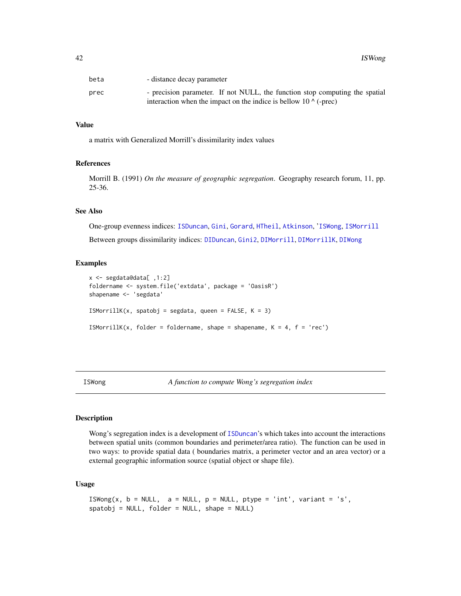| beta | - distance decay parameter                                                  |
|------|-----------------------------------------------------------------------------|
| prec | - precision parameter. If not NULL, the function stop computing the spatial |
|      | interaction when the impact on the indice is bellow $10 \land$ (-prec)      |

#### Value

a matrix with Generalized Morrill's dissimilarity index values

## References

Morrill B. (1991) *On the measure of geographic segregation*. Geography research forum, 11, pp. 25-36.

#### See Also

One-group evenness indices: [ISDuncan](#page-37-0), [Gini](#page-29-0), [Gorard](#page-32-0), [HTheil](#page-36-0), [Atkinson](#page-13-0), '[ISWong](#page-41-0), [ISMorrill](#page-39-0) Between groups dissimilarity indices: [DIDuncan](#page-18-0), [Gini2](#page-30-0), [DIMorrill](#page-19-0), [DIMorrillK](#page-20-0), [DIWong](#page-23-0)

#### Examples

```
x <- segdata@data[ ,1:2]
foldername <- system.file('extdata', package = 'OasisR')
shapename <- 'segdata'
ISMorrillK(x, spatobj = segdata, queen = FALSE, K = 3)ISMorrillK(x, folder = foldername, shape = shapename, K = 4, f = 'rec')
```
<span id="page-41-0"></span>ISWong *A function to compute Wong's segregation index*

## **Description**

Wong's segregation index is a development of [ISDuncan](#page-37-0)'s which takes into account the interactions between spatial units (common boundaries and perimeter/area ratio). The function can be used in two ways: to provide spatial data ( boundaries matrix, a perimeter vector and an area vector) or a external geographic information source (spatial object or shape file).

## Usage

```
ISWong(x, b = NULL, a = NULL, p = NULL, ptype = 'int', variant = 's',spatobj = NULL, folder = NULL, shape = NULL)
```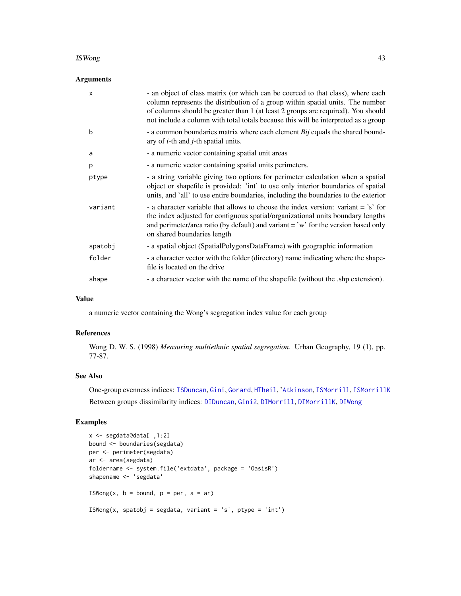#### ISWong the contract of the contract of the contract of the contract of the contract of the contract of the contract of the contract of the contract of the contract of the contract of the contract of the contract of the con

## Arguments

| $\times$ | - an object of class matrix (or which can be coerced to that class), where each<br>column represents the distribution of a group within spatial units. The number<br>of columns should be greater than 1 (at least 2 groups are required). You should<br>not include a column with total totals because this will be interpreted as a group |
|----------|---------------------------------------------------------------------------------------------------------------------------------------------------------------------------------------------------------------------------------------------------------------------------------------------------------------------------------------------|
| b        | - a common boundaries matrix where each element $Bij$ equals the shared bound-<br>ary of $i$ -th and $j$ -th spatial units.                                                                                                                                                                                                                 |
| a        | - a numeric vector containing spatial unit areas                                                                                                                                                                                                                                                                                            |
| p        | - a numeric vector containing spatial units perimeters.                                                                                                                                                                                                                                                                                     |
| ptype    | - a string variable giving two options for perimeter calculation when a spatial<br>object or shapefile is provided: 'int' to use only interior boundaries of spatial<br>units, and 'all' to use entire boundaries, including the boundaries to the exterior                                                                                 |
| variant  | - a character variable that allows to choose the index version: variant = 's' for<br>the index adjusted for contiguous spatial/organizational units boundary lengths<br>and perimeter/area ratio (by default) and variant = 'w' for the version based only<br>on shared boundaries length                                                   |
| spatobj  | - a spatial object (SpatialPolygonsDataFrame) with geographic information                                                                                                                                                                                                                                                                   |
| folder   | - a character vector with the folder (directory) name indicating where the shape-<br>file is located on the drive                                                                                                                                                                                                                           |
| shape    | - a character vector with the name of the shapefile (without the .shp extension).                                                                                                                                                                                                                                                           |

## Value

a numeric vector containing the Wong's segregation index value for each group

#### References

Wong D. W. S. (1998) *Measuring multiethnic spatial segregation*. Urban Geography, 19 (1), pp. 77-87.

#### See Also

One-group evenness indices: [ISDuncan](#page-37-0), [Gini](#page-29-0), [Gorard](#page-32-0), [HTheil](#page-36-0), '[Atkinson](#page-13-0), [ISMorrill](#page-39-0), [ISMorrillK](#page-40-0) Between groups dissimilarity indices: [DIDuncan](#page-18-0), [Gini2](#page-30-0), [DIMorrill](#page-19-0), [DIMorrillK](#page-20-0), [DIWong](#page-23-0)

```
x <- segdata@data[ ,1:2]
bound <- boundaries(segdata)
per <- perimeter(segdata)
ar <- area(segdata)
foldername <- system.file('extdata', package = 'OasisR')
shapename <- 'segdata'
ISWong(x, b = bound, p = per, a = ar)
ISWong(x, spatobj = segdata, variant = 's', ptype = 'int')
```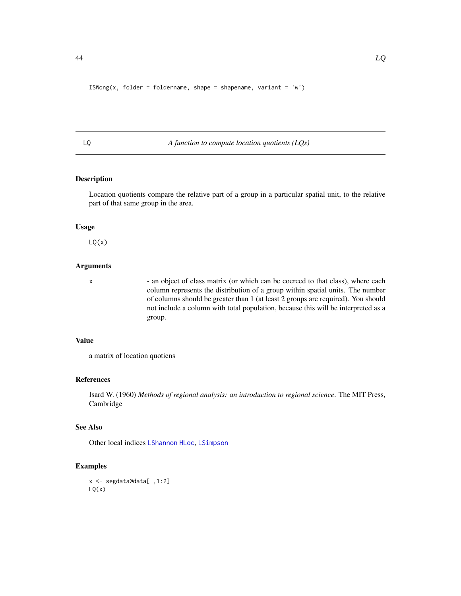```
ISWong(x, folder = foldername, shape = shapename, variant = 'w')
```
<span id="page-43-0"></span>LQ *A function to compute location quotients (LQs)*

## Description

Location quotients compare the relative part of a group in a particular spatial unit, to the relative part of that same group in the area.

#### Usage

 $LQ(x)$ 

#### Arguments

x - an object of class matrix (or which can be coerced to that class), where each column represents the distribution of a group within spatial units. The number of columns should be greater than 1 (at least 2 groups are required). You should not include a column with total population, because this will be interpreted as a group.

#### Value

a matrix of location quotiens

#### References

Isard W. (1960) *Methods of regional analysis: an introduction to regional science*. The MIT Press, Cambridge

## See Also

Other local indices [LShannon](#page-44-0) [HLoc](#page-33-0), [LSimpson](#page-45-0)

```
x <- segdata@data[ ,1:2]
LQ(x)
```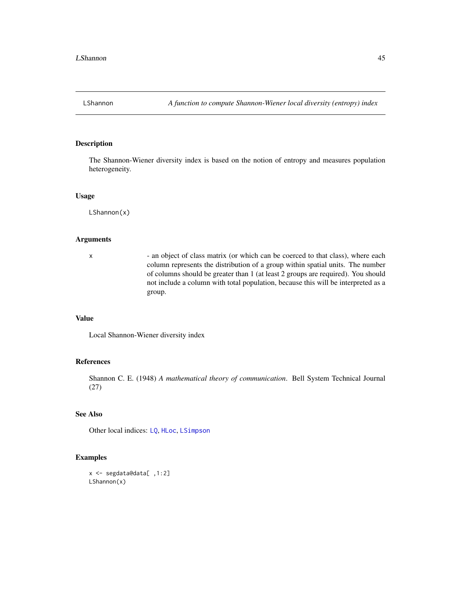<span id="page-44-0"></span>

The Shannon-Wiener diversity index is based on the notion of entropy and measures population heterogeneity.

#### Usage

LShannon(x)

## Arguments

x - an object of class matrix (or which can be coerced to that class), where each column represents the distribution of a group within spatial units. The number of columns should be greater than 1 (at least 2 groups are required). You should not include a column with total population, because this will be interpreted as a group.

# Value

Local Shannon-Wiener diversity index

#### References

Shannon C. E. (1948) *A mathematical theory of communication*. Bell System Technical Journal (27)

# See Also

Other local indices: [LQ](#page-43-0), [HLoc](#page-33-0), [LSimpson](#page-45-0)

```
x <- segdata@data[ ,1:2]
LShannon(x)
```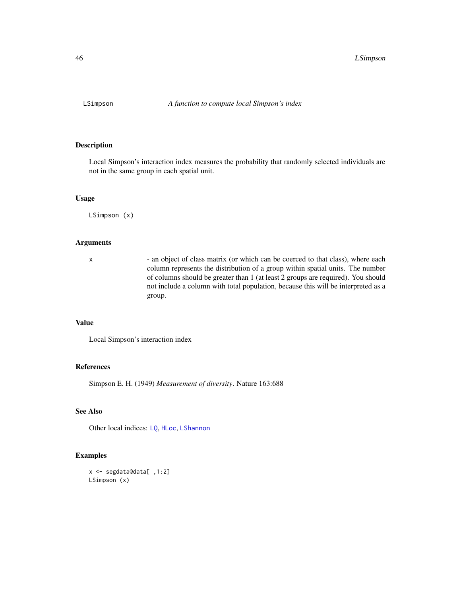<span id="page-45-0"></span>

Local Simpson's interaction index measures the probability that randomly selected individuals are not in the same group in each spatial unit.

#### Usage

LSimpson (x)

## Arguments

x - an object of class matrix (or which can be coerced to that class), where each column represents the distribution of a group within spatial units. The number of columns should be greater than 1 (at least 2 groups are required). You should not include a column with total population, because this will be interpreted as a group.

## Value

Local Simpson's interaction index

## References

Simpson E. H. (1949) *Measurement of diversity*. Nature 163:688

## See Also

Other local indices: [LQ](#page-43-0), [HLoc](#page-33-0), [LShannon](#page-44-0)

```
x <- segdata@data[ ,1:2]
LSimpson (x)
```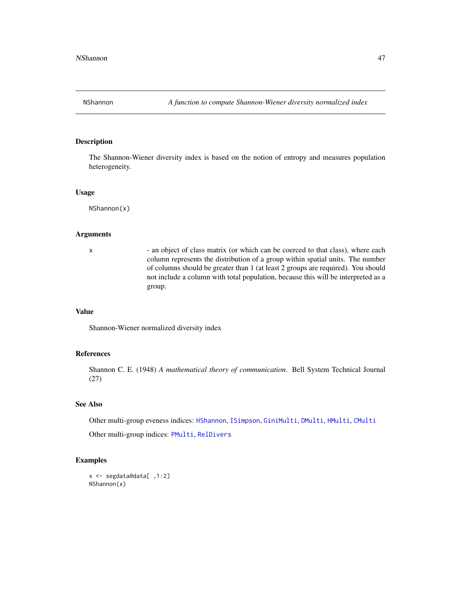<span id="page-46-0"></span>

The Shannon-Wiener diversity index is based on the notion of entropy and measures population heterogeneity.

#### Usage

NShannon(x)

## **Arguments**

x - an object of class matrix (or which can be coerced to that class), where each column represents the distribution of a group within spatial units. The number of columns should be greater than 1 (at least 2 groups are required). You should not include a column with total population, because this will be interpreted as a group.

#### Value

Shannon-Wiener normalized diversity index

## References

Shannon C. E. (1948) *A mathematical theory of communication*. Bell System Technical Journal (27)

#### See Also

Other multi-group eveness indices: [HShannon](#page-35-0), [ISimpson](#page-38-0), [GiniMulti](#page-31-0), [DMulti](#page-25-0), [HMulti](#page-34-0), [CMulti](#page-15-0)

Other multi-group indices: [PMulti](#page-49-0), [RelDivers](#page-62-0)

```
x <- segdata@data[ ,1:2]
NShannon(x)
```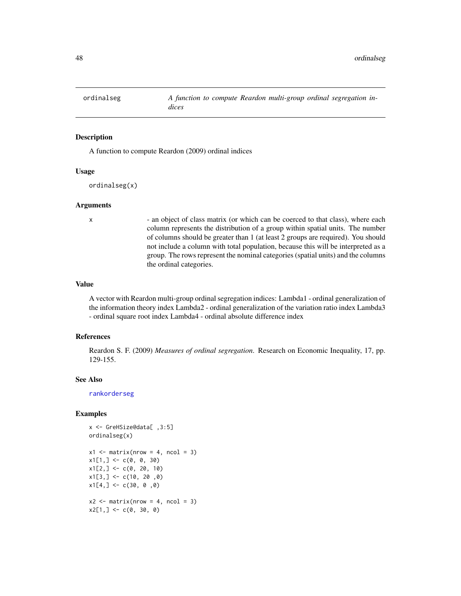<span id="page-47-0"></span>

A function to compute Reardon (2009) ordinal indices

#### Usage

ordinalseg(x)

#### Arguments

x - an object of class matrix (or which can be coerced to that class), where each column represents the distribution of a group within spatial units. The number of columns should be greater than 1 (at least 2 groups are required). You should not include a column with total population, because this will be interpreted as a group. The rows represent the nominal categories (spatial units) and the columns the ordinal categories.

#### Value

A vector with Reardon multi-group ordinal segregation indices: Lambda1 - ordinal generalization of the information theory index Lambda2 - ordinal generalization of the variation ratio index Lambda3 - ordinal square root index Lambda4 - ordinal absolute difference index

#### References

Reardon S. F. (2009) *Measures of ordinal segregation*. Research on Economic Inequality, 17, pp. 129-155.

#### See Also

[rankorderseg](#page-54-0)

```
x <- GreHSize@data[ ,3:5]
ordinalseg(x)
x1 \leftarrow matrix(nrow = 4, ncol = 3)x1[1,] \leftarrow c(0, 0, 30)x1[2,] \leftarrow c(0, 20, 10)x1[3,] < -c(10, 20, 0)x1[4,] < -c(30, 0, 0)x2 \le matrix(nrow = 4, ncol = 3)
x2[1,] < -c(0, 30, 0)
```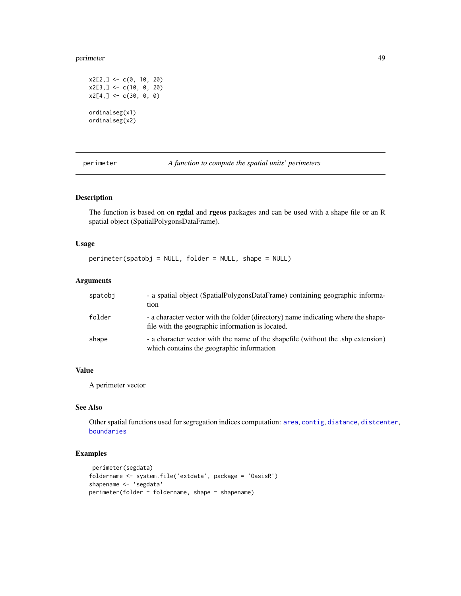#### perimeter 49

```
x2[2,] < -c(0, 10, 20)x2[3,] <- c(10, 0, 20)
x2[4, ] \leftarrow c(30, 0, 0)ordinalseg(x1)
ordinalseg(x2)
```
perimeter *A function to compute the spatial units' perimeters*

## **Description**

The function is based on on **rgdal** and **rgeos** packages and can be used with a shape file or an R spatial object (SpatialPolygonsDataFrame).

## Usage

```
perimeter(spatobj = NULL, folder = NULL, shape = NULL)
```
## Arguments

| spatobi | - a spatial object (SpatialPolygonsDataFrame) containing geographic informa-<br>tion                                                  |
|---------|---------------------------------------------------------------------------------------------------------------------------------------|
| folder  | - a character vector with the folder (directory) name indicating where the shape-<br>file with the geographic information is located. |
| shape   | - a character vector with the name of the shapefile (without the .shp extension)<br>which contains the geographic information         |

## Value

A perimeter vector

#### See Also

Other spatial functions used for segregation indices computation: [area](#page-12-0), [contig](#page-16-0), [distance](#page-21-0), [distcenter](#page-22-0), [boundaries](#page-14-0)

```
perimeter(segdata)
foldername <- system.file('extdata', package = 'OasisR')
shapename <- 'segdata'
perimeter(folder = foldername, shape = shapename)
```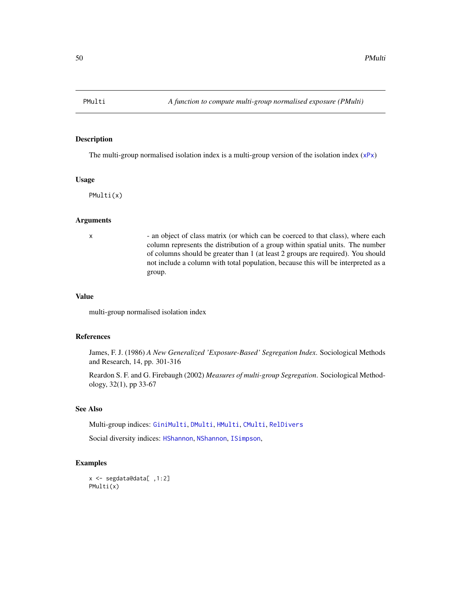<span id="page-49-0"></span>

The multi-group normalised isolation index is a multi-group version of the isolation index ([xPx](#page-74-0))

#### Usage

PMulti(x)

## Arguments

x - an object of class matrix (or which can be coerced to that class), where each column represents the distribution of a group within spatial units. The number of columns should be greater than 1 (at least 2 groups are required). You should not include a column with total population, because this will be interpreted as a group.

#### Value

multi-group normalised isolation index

## References

James, F. J. (1986) *A New Generalized 'Exposure-Based' Segregation Index*. Sociological Methods and Research, 14, pp. 301-316

Reardon S. F. and G. Firebaugh (2002) *Measures of multi-group Segregation*. Sociological Methodology, 32(1), pp 33-67

## See Also

Multi-group indices: [GiniMulti](#page-31-0), [DMulti](#page-25-0), [HMulti](#page-34-0), [CMulti](#page-15-0), [RelDivers](#page-62-0)

Social diversity indices: [HShannon](#page-35-0), [NShannon](#page-46-0), [ISimpson](#page-38-0),

## Examples

x <- segdata@data[ ,1:2] PMulti(x)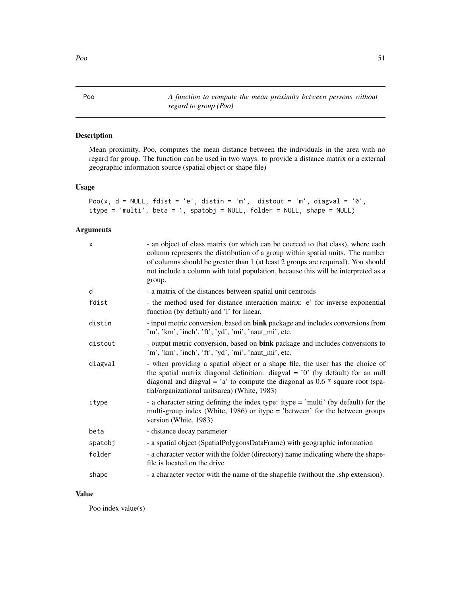Poo *A function to compute the mean proximity between persons without regard to group (Poo)*

## Description

Mean proximity, Poo, computes the mean distance between the individuals in the area with no regard for group. The function can be used in two ways: to provide a distance matrix or a external geographic information source (spatial object or shape file)

## Usage

```
Poo(x, d = NULL, fdist = 'e', distin = 'm', distout = 'm', diagonal = '0',
itype = 'multi', beta = 1, spatobj = NULL, folder = NULL, shape = NULL)
```
## Arguments

| $\times$ | - an object of class matrix (or which can be coerced to that class), where each<br>column represents the distribution of a group within spatial units. The number<br>of columns should be greater than 1 (at least 2 groups are required). You should<br>not include a column with total population, because this will be interpreted as a<br>group. |
|----------|------------------------------------------------------------------------------------------------------------------------------------------------------------------------------------------------------------------------------------------------------------------------------------------------------------------------------------------------------|
| d        | - a matrix of the distances between spatial unit centroids                                                                                                                                                                                                                                                                                           |
| fdist    | - the method used for distance interaction matrix: e' for inverse exponential<br>function (by default) and '1' for linear.                                                                                                                                                                                                                           |
| distin   | - input metric conversion, based on bink package and includes conversions from<br>'m', 'km', 'inch', 'ft', 'yd', 'mi', 'naut_mi', etc.                                                                                                                                                                                                               |
| distout  | - output metric conversion, based on bink package and includes conversions to<br>'m', 'km', 'inch', 'ft', 'yd', 'mi', 'naut_mi', etc.                                                                                                                                                                                                                |
| diagval  | - when providing a spatial object or a shape file, the user has the choice of<br>the spatial matrix diagonal definition: diagval = $'0'$ (by default) for an null<br>diagonal and diagval = $a$ to compute the diagonal as 0.6 $*$ square root (spa-<br>tial/organizational unitsarea) (White, 1983)                                                 |
| itype    | - a character string defining the index type: itype = 'multi' (by default) for the<br>multi-group index (White, 1986) or itype = 'between' for the between groups<br>version (White, 1983)                                                                                                                                                           |
| beta     | - distance decay parameter                                                                                                                                                                                                                                                                                                                           |
| spatobj  | - a spatial object (SpatialPolygonsDataFrame) with geographic information                                                                                                                                                                                                                                                                            |
| folder   | - a character vector with the folder (directory) name indicating where the shape-<br>file is located on the drive                                                                                                                                                                                                                                    |
| shape    | - a character vector with the name of the shapefile (without the .shp extension).                                                                                                                                                                                                                                                                    |

## Value

Poo index value(s)

<span id="page-50-0"></span>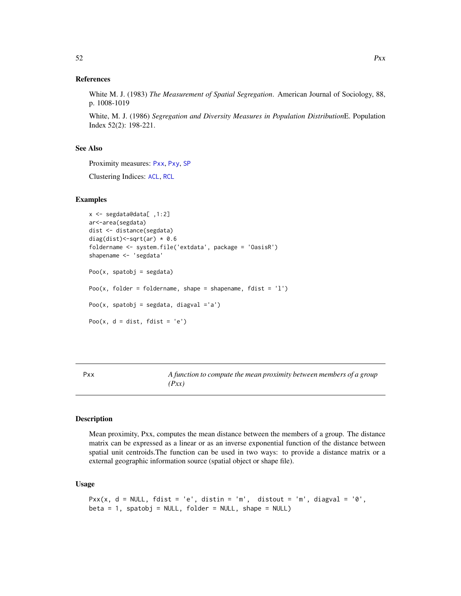## References

White M. J. (1983) *The Measurement of Spatial Segregation*. American Journal of Sociology, 88, p. 1008-1019

White, M. J. (1986) *Segregation and Diversity Measures in Population Distribution*E. Population Index 52(2): 198-221.

## See Also

Proximity measures: [Pxx](#page-51-0), [Pxy](#page-53-0), [SP](#page-70-0)

Clustering Indices: [ACL](#page-9-0), [RCL](#page-60-0)

#### Examples

```
x <- segdata@data[ ,1:2]
ar<-area(segdata)
dist <- distance(segdata)
diag(dist) <- sqrt(ar) * 0.6
foldername <- system.file('extdata', package = 'OasisR')
shapename <- 'segdata'
Poo(x, spatobj = segdata)
Poo(x, folder = foldername, shape = shapename, fdist = '1')
Poo(x, spatobj = segdata, diagval ='a')
Poo(x, d = dist, fdist = 'e')
```
<span id="page-51-0"></span>Pxx *A function to compute the mean proximity between members of a group (Pxx)*

#### Description

Mean proximity, Pxx, computes the mean distance between the members of a group. The distance matrix can be expressed as a linear or as an inverse exponential function of the distance between spatial unit centroids.The function can be used in two ways: to provide a distance matrix or a external geographic information source (spatial object or shape file).

#### Usage

```
Pxx(x, d = NULL, fdist = 'e', distin = 'm', distout = 'm', diagval = '0',beta = 1, spatobj = NULL, folder = NULL, shape = NULL)
```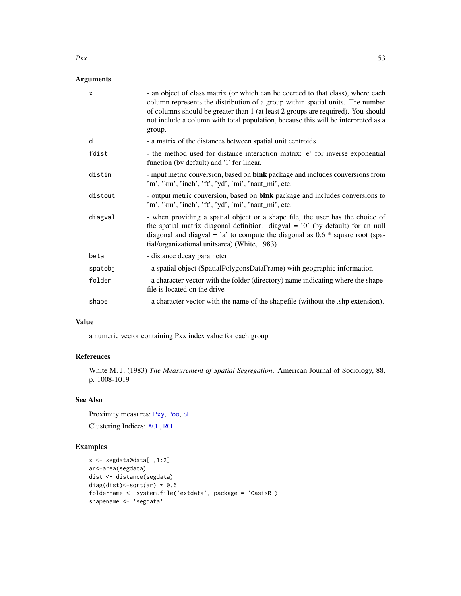## Arguments

| $\times$ | - an object of class matrix (or which can be coerced to that class), where each<br>column represents the distribution of a group within spatial units. The number<br>of columns should be greater than 1 (at least 2 groups are required). You should<br>not include a column with total population, because this will be interpreted as a<br>group. |
|----------|------------------------------------------------------------------------------------------------------------------------------------------------------------------------------------------------------------------------------------------------------------------------------------------------------------------------------------------------------|
| d        | - a matrix of the distances between spatial unit centroids                                                                                                                                                                                                                                                                                           |
| fdist    | - the method used for distance interaction matrix: e' for inverse exponential<br>function (by default) and '1' for linear.                                                                                                                                                                                                                           |
| distin   | - input metric conversion, based on bink package and includes conversions from<br>'m', 'km', 'inch', 'ft', 'yd', 'mi', 'naut_mi', etc.                                                                                                                                                                                                               |
| distout  | - output metric conversion, based on <b>bink</b> package and includes conversions to<br>'m', 'km', 'inch', 'ft', 'yd', 'mi', 'naut_mi', etc.                                                                                                                                                                                                         |
| diagval  | - when providing a spatial object or a shape file, the user has the choice of<br>the spatial matrix diagonal definition: diagval = $'0'$ (by default) for an null<br>diagonal and diagval = $a$ to compute the diagonal as 0.6 $*$ square root (spa-<br>tial/organizational unitsarea) (White, 1983)                                                 |
| beta     | - distance decay parameter                                                                                                                                                                                                                                                                                                                           |
| spatobj  | - a spatial object (SpatialPolygonsDataFrame) with geographic information                                                                                                                                                                                                                                                                            |
| folder   | - a character vector with the folder (directory) name indicating where the shape-<br>file is located on the drive                                                                                                                                                                                                                                    |
| shape    | - a character vector with the name of the shapefile (without the .shp extension).                                                                                                                                                                                                                                                                    |

#### Value

a numeric vector containing Pxx index value for each group

## References

White M. J. (1983) *The Measurement of Spatial Segregation*. American Journal of Sociology, 88, p. 1008-1019

## See Also

Proximity measures: [Pxy](#page-53-0), [Poo](#page-50-0), [SP](#page-70-0)

Clustering Indices: [ACL](#page-9-0), [RCL](#page-60-0)

## Examples

```
x <- segdata@data[ ,1:2]
ar<-area(segdata)
dist <- distance(segdata)
diag(dist) <- sqrt(ar) * 0.6
foldername <- system.file('extdata', package = 'OasisR')
shapename <- 'segdata'
```
 $Pxx$  53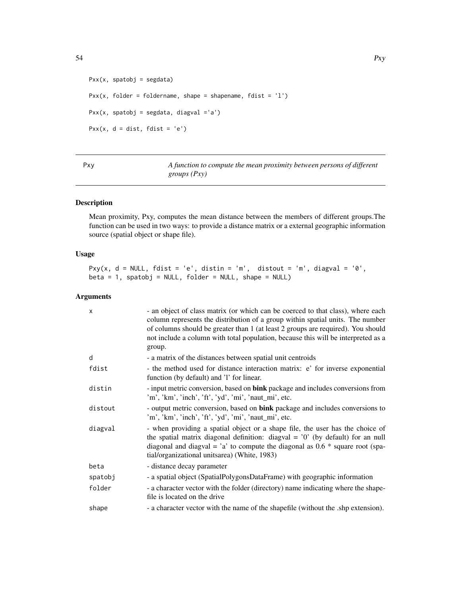```
Pxx(x, spatobj = segdata)Pxx(x, folder = foldername, shape = shapename, fdist = '1')
Pxx(x, spatobj = segdata, diagval ='a')
Pxx(x, d = dist, fdist = 'e')
```
<span id="page-53-0"></span>

| Pxy | A function to compute the mean proximity between persons of different |
|-----|-----------------------------------------------------------------------|
|     | <i>groups</i> $(Pxy)$                                                 |

Mean proximity, Pxy, computes the mean distance between the members of different groups.The function can be used in two ways: to provide a distance matrix or a external geographic information source (spatial object or shape file).

## Usage

```
Pxy(x, d = NULL, fdist = 'e', distin = 'm', distout = 'm', diagval = '0',beta = 1, spatobj = NULL, folder = NULL, shape = NULL)
```
## Arguments

| $\times$ | - an object of class matrix (or which can be coerced to that class), where each<br>column represents the distribution of a group within spatial units. The number<br>of columns should be greater than 1 (at least 2 groups are required). You should<br>not include a column with total population, because this will be interpreted as a<br>group. |
|----------|------------------------------------------------------------------------------------------------------------------------------------------------------------------------------------------------------------------------------------------------------------------------------------------------------------------------------------------------------|
| d        | - a matrix of the distances between spatial unit centroids                                                                                                                                                                                                                                                                                           |
| fdist    | - the method used for distance interaction matrix: e' for inverse exponential<br>function (by default) and '1' for linear.                                                                                                                                                                                                                           |
| distin   | - input metric conversion, based on bink package and includes conversions from<br>'m', 'km', 'inch', 'ft', 'yd', 'mi', 'naut_mi', etc.                                                                                                                                                                                                               |
| distout  | - output metric conversion, based on <b>bink</b> package and includes conversions to<br>'m', 'km', 'inch', 'ft', 'yd', 'mi', 'naut_mi', etc.                                                                                                                                                                                                         |
| diagval  | - when providing a spatial object or a shape file, the user has the choice of<br>the spatial matrix diagonal definition: diagval = $'0'$ (by default) for an null<br>diagonal and diagval = $a$ to compute the diagonal as 0.6 $*$ square root (spa-<br>tial/organizational unitsarea) (White, 1983)                                                 |
| beta     | - distance decay parameter                                                                                                                                                                                                                                                                                                                           |
| spatobj  | - a spatial object (SpatialPolygonsDataFrame) with geographic information                                                                                                                                                                                                                                                                            |
| folder   | - a character vector with the folder (directory) name indicating where the shape-<br>file is located on the drive                                                                                                                                                                                                                                    |
| shape    | - a character vector with the name of the shapefile (without the .shp extension).                                                                                                                                                                                                                                                                    |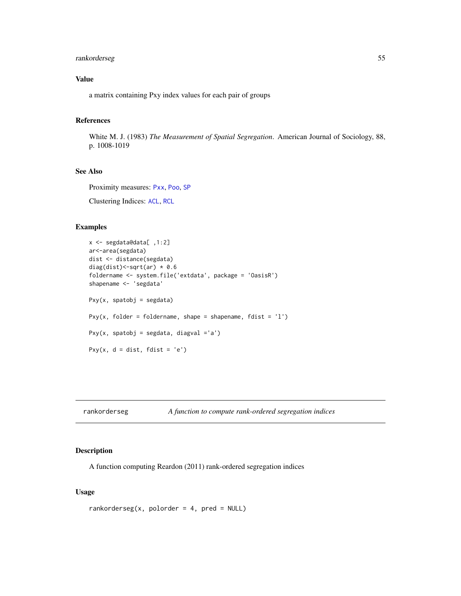## rankorderseg 55

## Value

a matrix containing Pxy index values for each pair of groups

## References

White M. J. (1983) *The Measurement of Spatial Segregation*. American Journal of Sociology, 88, p. 1008-1019

## See Also

Proximity measures: [Pxx](#page-51-0), [Poo](#page-50-0), [SP](#page-70-0)

Clustering Indices: [ACL](#page-9-0), [RCL](#page-60-0)

#### Examples

```
x <- segdata@data[ ,1:2]
ar<-area(segdata)
dist <- distance(segdata)
diag(dist)<-sqrt(ar) * 0.6
foldername <- system.file('extdata', package = 'OasisR')
shapename <- 'segdata'
Pxy(x, spatobj = segdata)
Pxy(x, folder = foldername, shape = shapename, fdist = '1')
Pxy(x, spatobj = segdata, diagval ='a')
Pxy(x, d = dist, fdist = 'e')
```
<span id="page-54-0"></span>rankorderseg *A function to compute rank-ordered segregation indices*

## Description

A function computing Reardon (2011) rank-ordered segregation indices

## Usage

```
rankorderseg(x, polorder = 4, pred = NULL)
```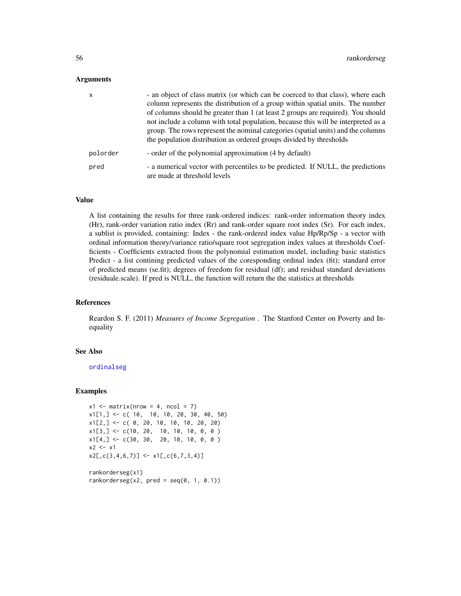#### Arguments

| $\mathsf{x}$ | - an object of class matrix (or which can be coerced to that class), where each<br>column represents the distribution of a group within spatial units. The number<br>of columns should be greater than 1 (at least 2 groups are required). You should<br>not include a column with total population, because this will be interpreted as a<br>group. The rows represent the nominal categories (spatial units) and the columns<br>the population distribution as ordered groups divided by thresholds |
|--------------|-------------------------------------------------------------------------------------------------------------------------------------------------------------------------------------------------------------------------------------------------------------------------------------------------------------------------------------------------------------------------------------------------------------------------------------------------------------------------------------------------------|
| polorder     | - order of the polynomial approximation (4 by default)                                                                                                                                                                                                                                                                                                                                                                                                                                                |
| pred         | - a numerical vector with percentiles to be predicted. If NULL, the predictions<br>are made at threshold levels                                                                                                                                                                                                                                                                                                                                                                                       |

#### Value

A list containing the results for three rank-ordered indices: rank-order information theory index (Hr), rank-order variation ratio index (Rr) and rank-order square root index (Sr). For each index, a sublist is provided, containing: Index - the rank-ordered index value Hp/Rp/Sp - a vector with ordinal information theory/variance ratio/square root segregation index values at thresholds Coefficients - Coefficients extracted from the polynomial estimation model, including basic statistics Predict - a list contining predicted values of the coresponding ordinal index (fit); standard error of predicted means (se.fit); degrees of freedom for residual (df); and residual standard deviations (residuale.scale). If pred is NULL, the function will return the the statistics at thresholds

## References

Reardon S. F. (2011) *Measures of Income Segregation* . The Stanford Center on Poverty and Inequality

#### See Also

[ordinalseg](#page-47-0)

#### Examples

```
x1 \leftarrow matrix(nrow = 4, ncol = 7)x1[1,] \leftarrow c( 10, 10, 10, 20, 30, 40, 50)x1[2, ] \leftarrow c( 0, 20, 10, 10, 10, 20, 20)x1[3, ] \leftarrow c(10, 20, 10, 10, 10, 0, 0)x1[4, ] \leftarrow c(30, 30, 20, 10, 10, 0, 0)x2 < - x1x2[,c(3,4,6,7)] \leftarrow x1[,c(6,7,3,4)]rankorderseg(x1)
```
rankorderseg(x2, pred =  $seq(0, 1, 0.1)$ )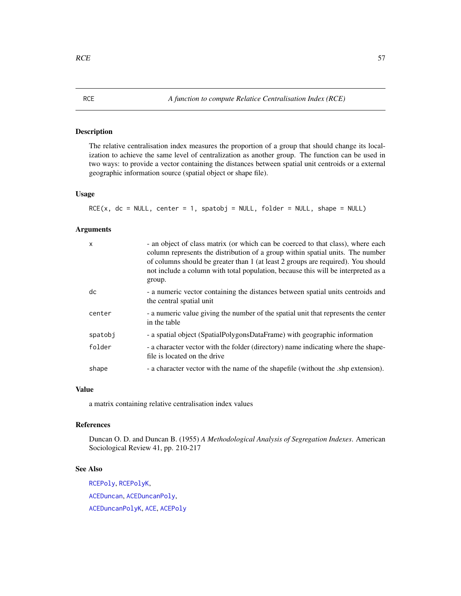<span id="page-56-0"></span>The relative centralisation index measures the proportion of a group that should change its localization to achieve the same level of centralization as another group. The function can be used in two ways: to provide a vector containing the distances between spatial unit centroids or a external geographic information source (spatial object or shape file).

## Usage

```
RCE(x, dc = NULL, center = 1, spatobj = NULL, folder = NULL, shape = NULL)
```
## Arguments

| X       | - an object of class matrix (or which can be coerced to that class), where each<br>column represents the distribution of a group within spatial units. The number<br>of columns should be greater than 1 (at least 2 groups are required). You should<br>not include a column with total population, because this will be interpreted as a<br>group. |
|---------|------------------------------------------------------------------------------------------------------------------------------------------------------------------------------------------------------------------------------------------------------------------------------------------------------------------------------------------------------|
| dc      | - a numeric vector containing the distances between spatial units centroids and<br>the central spatial unit                                                                                                                                                                                                                                          |
| center  | - a numeric value giving the number of the spatial unit that represents the center<br>in the table                                                                                                                                                                                                                                                   |
| spatobj | - a spatial object (SpatialPolygonsDataFrame) with geographic information                                                                                                                                                                                                                                                                            |
| folder  | - a character vector with the folder (directory) name indicating where the shape-<br>file is located on the drive                                                                                                                                                                                                                                    |
| shape   | - a character vector with the name of the shapefile (without the .shp extension).                                                                                                                                                                                                                                                                    |
|         |                                                                                                                                                                                                                                                                                                                                                      |

#### Value

a matrix containing relative centralisation index values

#### References

Duncan O. D. and Duncan B. (1955) *A Methodological Analysis of Segregation Indexes*. American Sociological Review 41, pp. 210-217

#### See Also

[RCEPoly](#page-57-0), [RCEPolyK](#page-58-0), [ACEDuncan](#page-3-0), [ACEDuncanPoly](#page-5-0), [ACEDuncanPolyK](#page-6-0), [ACE](#page-2-0), [ACEPoly](#page-8-0)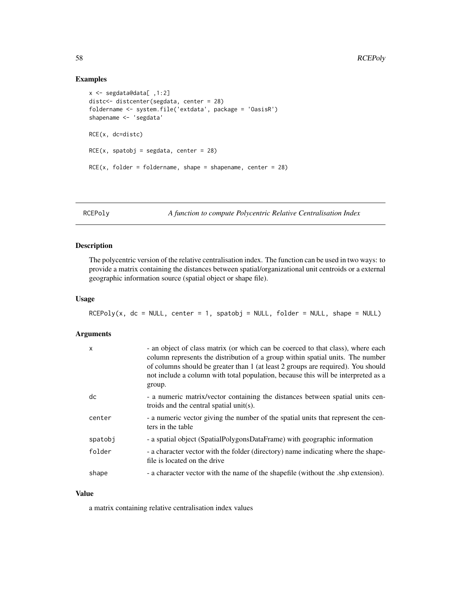## Examples

```
x <- segdata@data[ ,1:2]
distc<- distcenter(segdata, center = 28)
foldername <- system.file('extdata', package = 'OasisR')
shapename <- 'segdata'
RCE(x, dc=distc)
RCE(x, spatobj = segdata, center = 28)RCE(x, folder = foldername, shape = shapename, center = 28)
```
<span id="page-57-0"></span>RCEPoly *A function to compute Polycentric Relative Centralisation Index*

## Description

The polycentric version of the relative centralisation index. The function can be used in two ways: to provide a matrix containing the distances between spatial/organizational unit centroids or a external geographic information source (spatial object or shape file).

#### Usage

RCEPoly(x, dc = NULL, center = 1, spatobj = NULL, folder = NULL, shape = NULL)

#### Arguments

| X       | - an object of class matrix (or which can be coerced to that class), where each<br>column represents the distribution of a group within spatial units. The number<br>of columns should be greater than 1 (at least 2 groups are required). You should<br>not include a column with total population, because this will be interpreted as a<br>group. |
|---------|------------------------------------------------------------------------------------------------------------------------------------------------------------------------------------------------------------------------------------------------------------------------------------------------------------------------------------------------------|
| dc      | - a numeric matrix/vector containing the distances between spatial units cen-<br>troids and the central spatial unit(s).                                                                                                                                                                                                                             |
| center  | - a numeric vector giving the number of the spatial units that represent the cen-<br>ters in the table                                                                                                                                                                                                                                               |
| spatobj | - a spatial object (SpatialPolygonsDataFrame) with geographic information                                                                                                                                                                                                                                                                            |
| folder  | - a character vector with the folder (directory) name indicating where the shape-<br>file is located on the drive                                                                                                                                                                                                                                    |
| shape   | - a character vector with the name of the shapefile (without the .shp extension).                                                                                                                                                                                                                                                                    |

## Value

a matrix containing relative centralisation index values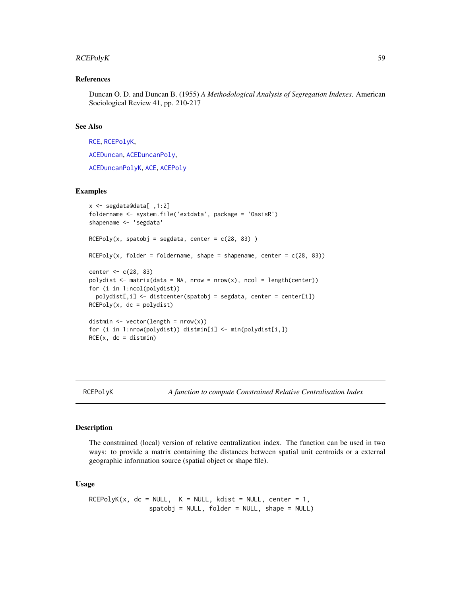## RCEPolyK 59

#### References

Duncan O. D. and Duncan B. (1955) *A Methodological Analysis of Segregation Indexes*. American Sociological Review 41, pp. 210-217

#### See Also

[RCE](#page-56-0), [RCEPolyK](#page-58-0),

[ACEDuncan](#page-3-0), [ACEDuncanPoly](#page-5-0),

[ACEDuncanPolyK](#page-6-0), [ACE](#page-2-0), [ACEPoly](#page-8-0)

## Examples

```
x <- segdata@data[ ,1:2]
foldername <- system.file('extdata', package = 'OasisR')
shapename <- 'segdata'
RCEPoly(x, spatobj = segdata, center = c(28, 83))RCEPoly(x, folder = foldername, shape = shapename, center = c(28, 83))
center <- c(28, 83)
polydist \leq matrix(data = NA, nrow = nrow(x), ncol = length(center))
for (i in 1:ncol(polydist))
 polydist[,i] <- distcenter(spatobj = segdata, center = center[i])
RCEPoly(x, dc = polydist)distmin \leq vector(length = nrow(x))
for (i in 1:nrow(polydist)) distmin[i] <- min(polydist[i,])
RCE(x, dc = distmin)
```
<span id="page-58-0"></span>

RCEPolyK *A function to compute Constrained Relative Centralisation Index*

#### Description

The constrained (local) version of relative centralization index. The function can be used in two ways: to provide a matrix containing the distances between spatial unit centroids or a external geographic information source (spatial object or shape file).

#### Usage

```
RCEPolyK(x, dc = NULL, K = NULL, kdist = NULL, center = 1,spatobj = NULL, folder = NULL, shape = NULL)
```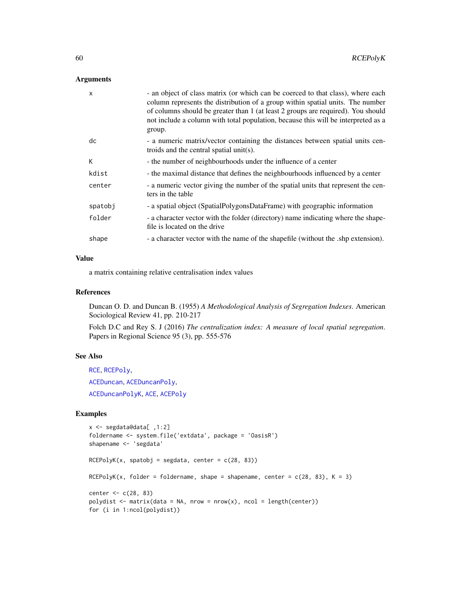#### Arguments

| $\boldsymbol{\mathsf{x}}$ | - an object of class matrix (or which can be coerced to that class), where each<br>column represents the distribution of a group within spatial units. The number<br>of columns should be greater than 1 (at least 2 groups are required). You should<br>not include a column with total population, because this will be interpreted as a<br>group. |
|---------------------------|------------------------------------------------------------------------------------------------------------------------------------------------------------------------------------------------------------------------------------------------------------------------------------------------------------------------------------------------------|
| dc                        | - a numeric matrix/vector containing the distances between spatial units cen-<br>troids and the central spatial unit(s).                                                                                                                                                                                                                             |
| K                         | - the number of neighbourhoods under the influence of a center                                                                                                                                                                                                                                                                                       |
| kdist                     | - the maximal distance that defines the neighbourhoods influenced by a center                                                                                                                                                                                                                                                                        |
| center                    | - a numeric vector giving the number of the spatial units that represent the cen-<br>ters in the table                                                                                                                                                                                                                                               |
| spatobj                   | - a spatial object (SpatialPolygonsDataFrame) with geographic information                                                                                                                                                                                                                                                                            |
| folder                    | - a character vector with the folder (directory) name indicating where the shape-<br>file is located on the drive                                                                                                                                                                                                                                    |
| shape                     | - a character vector with the name of the shapefile (without the .shp extension).                                                                                                                                                                                                                                                                    |

#### Value

a matrix containing relative centralisation index values

#### References

Duncan O. D. and Duncan B. (1955) *A Methodological Analysis of Segregation Indexes*. American Sociological Review 41, pp. 210-217

Folch D.C and Rey S. J (2016) *The centralization index: A measure of local spatial segregation*. Papers in Regional Science 95 (3), pp. 555-576

## See Also

[RCE](#page-56-0), [RCEPoly](#page-57-0), [ACEDuncan](#page-3-0), [ACEDuncanPoly](#page-5-0), [ACEDuncanPolyK](#page-6-0), [ACE](#page-2-0), [ACEPoly](#page-8-0)

```
x <- segdata@data[ ,1:2]
foldername <- system.file('extdata', package = 'OasisR')
shapename <- 'segdata'
RCEPolyK(x, spatobj = segdata, center = c(28, 83))RCEPolyK(x, folder = foldername, shape = shapename, center = c(28, 83), K = 3)
center <- c(28, 83)
polydist \leq matrix(data = NA, nrow = nrow(x), ncol = length(center))
for (i in 1:ncol(polydist))
```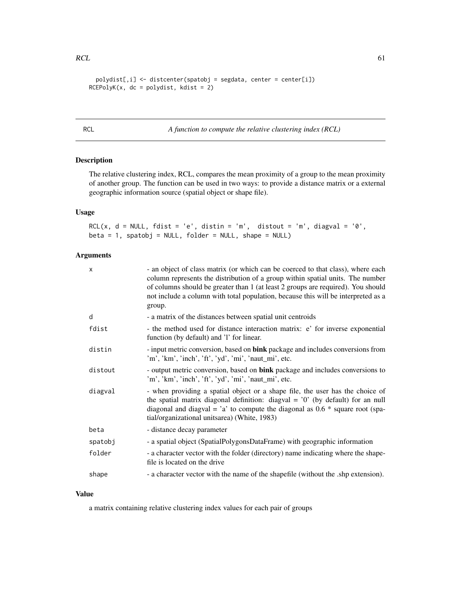```
polydist[,i] <- distcenter(spatobj = segdata, center = center[i])
RCEPolyK(x, dc = polydist, kdist = 2)
```
<span id="page-60-0"></span>RCL *A function to compute the relative clustering index (RCL)*

#### Description

The relative clustering index, RCL, compares the mean proximity of a group to the mean proximity of another group. The function can be used in two ways: to provide a distance matrix or a external geographic information source (spatial object or shape file).

## Usage

RCL(x,  $d = NULL$ ,  $fdist = 'e'$ ,  $distin = 'm'$ ,  $distout = 'm'$ ,  $diagonal = '0'$ , beta = 1, spatobj = NULL, folder = NULL, shape = NULL)

#### Arguments

| x       | - an object of class matrix (or which can be coerced to that class), where each<br>column represents the distribution of a group within spatial units. The number<br>of columns should be greater than 1 (at least 2 groups are required). You should<br>not include a column with total population, because this will be interpreted as a<br>group. |
|---------|------------------------------------------------------------------------------------------------------------------------------------------------------------------------------------------------------------------------------------------------------------------------------------------------------------------------------------------------------|
| d       | - a matrix of the distances between spatial unit centroids                                                                                                                                                                                                                                                                                           |
| fdist   | - the method used for distance interaction matrix: e' for inverse exponential<br>function (by default) and 'l' for linear.                                                                                                                                                                                                                           |
| distin  | - input metric conversion, based on bink package and includes conversions from<br>'m', 'km', 'inch', 'ft', 'yd', 'mi', 'naut_mi', etc.                                                                                                                                                                                                               |
| distout | - output metric conversion, based on <b>bink</b> package and includes conversions to<br>'m', 'km', 'inch', 'ft', 'yd', 'mi', 'naut_mi', etc.                                                                                                                                                                                                         |
| diagval | - when providing a spatial object or a shape file, the user has the choice of<br>the spatial matrix diagonal definition: diagval = $'0'$ (by default) for an null<br>diagonal and diagval = $a$ to compute the diagonal as 0.6 $*$ square root (spa-<br>tial/organizational unitsarea) (White, 1983)                                                 |
| beta    | - distance decay parameter                                                                                                                                                                                                                                                                                                                           |
| spatobj | - a spatial object (SpatialPolygonsDataFrame) with geographic information                                                                                                                                                                                                                                                                            |
| folder  | - a character vector with the folder (directory) name indicating where the shape-<br>file is located on the drive                                                                                                                                                                                                                                    |
| shape   | - a character vector with the name of the shapefile (without the .shp extension).                                                                                                                                                                                                                                                                    |

## Value

a matrix containing relative clustering index values for each pair of groups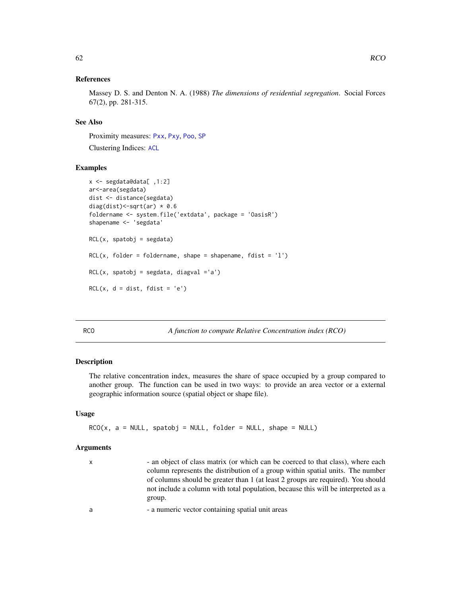## References

Massey D. S. and Denton N. A. (1988) *The dimensions of residential segregation*. Social Forces 67(2), pp. 281-315.

## See Also

Proximity measures: [Pxx](#page-51-0), [Pxy](#page-53-0), [Poo](#page-50-0), [SP](#page-70-0)

Clustering Indices: [ACL](#page-9-0)

#### Examples

```
x <- segdata@data[ ,1:2]
ar<-area(segdata)
dist <- distance(segdata)
diag(dist) <- sqrt(ar) * 0.6
foldername <- system.file('extdata', package = 'OasisR')
shapename <- 'segdata'
RCL(x, spatobj = segdata)
RCL(x, folder = foldername, shape = shapename, file = 'l')RCL(x, spatobj = segdata, diagval = 'a')RCL(x, d = dist, fdist = 'e')
```
RCO *A function to compute Relative Concentration index (RCO)*

#### Description

The relative concentration index, measures the share of space occupied by a group compared to another group. The function can be used in two ways: to provide an area vector or a external geographic information source (spatial object or shape file).

## Usage

```
RCO(x, a = NULL, spatobj = NULL, folder = NULL, shape = NULL)
```
# Arguments

| $\mathsf{X}$ | - an object of class matrix (or which can be coerced to that class), where each   |
|--------------|-----------------------------------------------------------------------------------|
|              | column represents the distribution of a group within spatial units. The number    |
|              | of columns should be greater than 1 (at least 2 groups are required). You should  |
|              | not include a column with total population, because this will be interpreted as a |
|              | group.                                                                            |
|              |                                                                                   |

a - a numeric vector containing spatial unit areas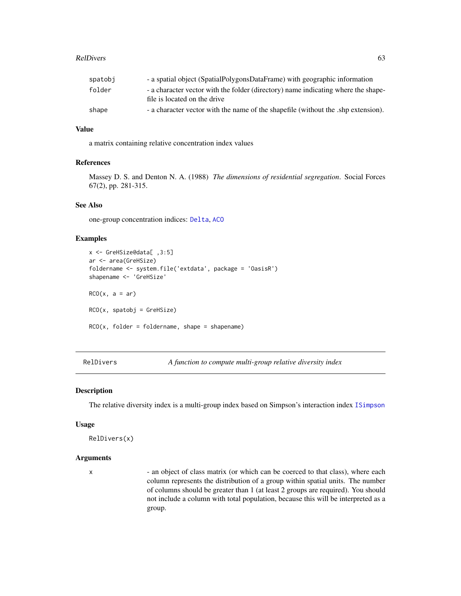#### RelDivers 63

| spatobi | - a spatial object (SpatialPolygonsDataFrame) with geographic information                                         |
|---------|-------------------------------------------------------------------------------------------------------------------|
| folder  | - a character vector with the folder (directory) name indicating where the shape-<br>file is located on the drive |
| shape   | - a character vector with the name of the shapefile (without the shp extension).                                  |

#### Value

a matrix containing relative concentration index values

#### References

Massey D. S. and Denton N. A. (1988) *The dimensions of residential segregation*. Social Forces 67(2), pp. 281-315.

#### See Also

one-group concentration indices: [Delta](#page-17-0), [ACO](#page-11-0)

## Examples

```
x <- GreHSize@data[ ,3:5]
ar <- area(GreHSize)
foldername <- system.file('extdata', package = 'OasisR')
shapename <- 'GreHSize'
RCO(x, a = ar)RCO(x, spatobj = GreHSize)RCO(x, folder = foldername, shape = shapename)
```
<span id="page-62-0"></span>RelDivers *A function to compute multi-group relative diversity index*

#### Description

The relative diversity index is a multi-group index based on Simpson's interaction index [ISimpson](#page-38-0)

#### Usage

```
RelDivers(x)
```
#### Arguments

x - an object of class matrix (or which can be coerced to that class), where each column represents the distribution of a group within spatial units. The number of columns should be greater than 1 (at least 2 groups are required). You should not include a column with total population, because this will be interpreted as a group.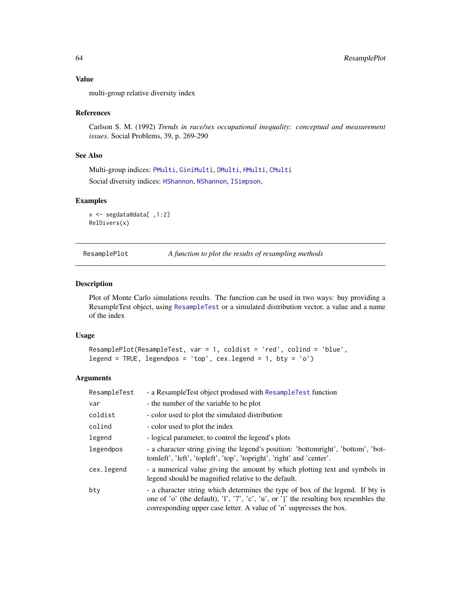## Value

multi-group relative diversity index

#### References

Carlson S. M. (1992) *Trends in race/sex occupational inequality: conceptual and measurement issues*. Social Problems, 39, p. 269-290

## See Also

Multi-group indices: [PMulti](#page-49-0), [GiniMulti](#page-31-0), [DMulti](#page-25-0), [HMulti](#page-34-0), [CMulti](#page-15-0)

Social diversity indices: [HShannon](#page-35-0), [NShannon](#page-46-0), [ISimpson](#page-38-0),

#### Examples

```
x <- segdata@data[ ,1:2]
RelDivers(x)
```
<span id="page-63-0"></span>

| ResamplePlot | A function to plot the results of resampling methods |  |
|--------------|------------------------------------------------------|--|
|              |                                                      |  |

#### Description

Plot of Monte Carlo simulations results. The function can be used in two ways: buy providing a ResampleTest object, using [ResampleTest](#page-64-0) or a simulated distribution vector, a value and a name of the index

## Usage

```
ResamplePlot(ResampleTest, var = 1, coldist = 'red', colind = 'blue',
legend = TRUE, legendpos = 'top', cex.length = 1, bty = 'o')
```
## Arguments

| ResampleTest | - a ResampleTest object prodused with ResampleTest function                                                                                                                                                                                   |
|--------------|-----------------------------------------------------------------------------------------------------------------------------------------------------------------------------------------------------------------------------------------------|
| var          | - the number of the variable to be plot                                                                                                                                                                                                       |
| coldist      | - color used to plot the simulated distribution                                                                                                                                                                                               |
| colind       | - color used to plot the index                                                                                                                                                                                                                |
| legend       | - logical parameter, to control the legend's plots                                                                                                                                                                                            |
| legendpos    | - a character string giving the legend's position: 'bottomright', 'bottom', 'bot-<br>tomleft', 'left', 'topleft', 'top', 'topright', 'right' and 'center'.                                                                                    |
| cex.legend   | - a numerical value giving the amount by which plotting text and symbols in<br>legend should be magnified relative to the default.                                                                                                            |
| bty          | - a character string which determines the type of box of the legend. If bty is<br>one of 'o' (the default), 'l', '7', 'c', 'u', or ']' the resulting box resembles the<br>corresponding upper case letter. A value of 'n' suppresses the box. |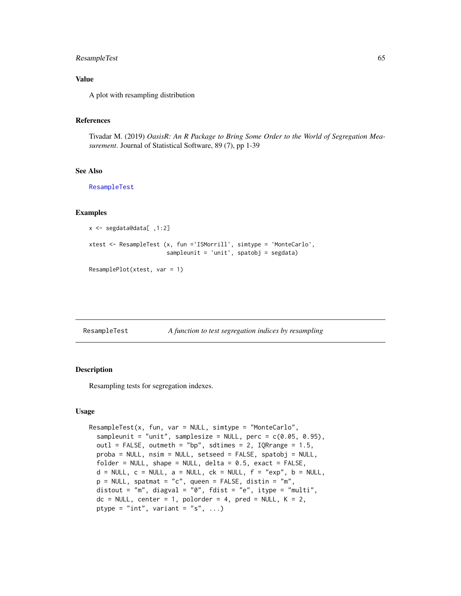## ResampleTest 65

## Value

A plot with resampling distribution

#### References

Tivadar M. (2019) *OasisR: An R Package to Bring Some Order to the World of Segregation Measurement*. Journal of Statistical Software, 89 (7), pp 1-39

## See Also

[ResampleTest](#page-64-0)

#### Examples

```
x <- segdata@data[ ,1:2]
xtest <- ResampleTest (x, fun ='ISMorrill', simtype = 'MonteCarlo',
                       sampleunit = 'unit', spatobj = segdata)
ResamplePlot(xtest, var = 1)
```
<span id="page-64-0"></span>

|  | ResampleTest | A function to test segregation indices by resampling |  |  |  |
|--|--------------|------------------------------------------------------|--|--|--|
|--|--------------|------------------------------------------------------|--|--|--|

## Description

Resampling tests for segregation indexes.

#### Usage

```
ResampleTest(x, fun, var = NULL, simtype = "MonteCarlo",sampleunit = "unit", samplesize = NULL, perc = c(0.05, 0.95),
 outl = FALSE, outmeth = "bp", sdtimes = 2, IQRrange = 1.5,
 proba = NULL, nsim = NULL, setseed = FALSE, spatobj = NULL,
 folder = NULL, shape = NULL, delta = 0.5, exact = FALSE,
 d = NULL, c = NULL, a = NULL, ck = NULL, f = "exp", b = NULL,
 p = NULL, spatmat = "c", queen = FALSE, distin = "m",
 distout = "m", diagval = "0", fdist = "e", itype = "multi",
 dc = NULL, center = 1, polorder = 4, pred = NULL, K = 2,
 ptype = "int", variant = "s", ...)
```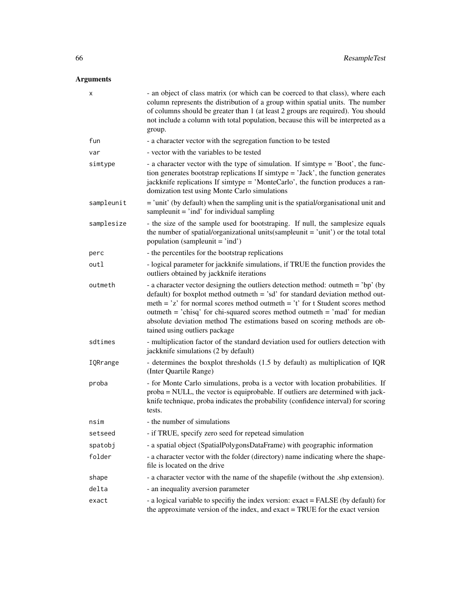# Arguments

| x          | - an object of class matrix (or which can be coerced to that class), where each<br>column represents the distribution of a group within spatial units. The number<br>of columns should be greater than 1 (at least 2 groups are required). You should<br>not include a column with total population, because this will be interpreted as a<br>group.                                                                                                |
|------------|-----------------------------------------------------------------------------------------------------------------------------------------------------------------------------------------------------------------------------------------------------------------------------------------------------------------------------------------------------------------------------------------------------------------------------------------------------|
| fun        | - a character vector with the segregation function to be tested                                                                                                                                                                                                                                                                                                                                                                                     |
| var        | - vector with the variables to be tested                                                                                                                                                                                                                                                                                                                                                                                                            |
| simtype    | - a character vector with the type of simulation. If simtype = 'Boot', the func-<br>tion generates bootstrap replications If simtype = 'Jack', the function generates<br>jackknife replications If simtype = 'MonteCarlo', the function produces a ran-<br>domization test using Monte Carlo simulations                                                                                                                                            |
| sampleunit | $=$ 'unit' (by default) when the sampling unit is the spatial/organisational unit and<br>sample unit $=$ 'ind' for individual sampling                                                                                                                                                                                                                                                                                                              |
| samplesize | - the size of the sample used for bootstraping. If null, the samplesize equals<br>the number of spatial/organizational units(sampleunit = 'unit') or the total total<br>population (sampleunit = 'ind')                                                                                                                                                                                                                                             |
| perc       | - the percentiles for the bootstrap replications                                                                                                                                                                                                                                                                                                                                                                                                    |
| outl       | - logical parameter for jackknife simulations, if TRUE the function provides the<br>outliers obtained by jackknife iterations                                                                                                                                                                                                                                                                                                                       |
| outmeth    | - a character vector designing the outliers detection method: outmeth = 'bp' (by<br>default) for boxplot method outmeth $=$ 'sd' for standard deviation method out-<br>meth = $z'$ for normal scores method outmeth = $i'$ for t Student scores method<br>outmeth = 'chisq' for chi-squared scores method outmeth = 'mad' for median<br>absolute deviation method The estimations based on scoring methods are ob-<br>tained using outliers package |
| sdtimes    | - multiplication factor of the standard deviation used for outliers detection with<br>jackknife simulations (2 by default)                                                                                                                                                                                                                                                                                                                          |
| IQRrange   | - determines the boxplot thresholds (1.5 by default) as multiplication of IQR<br>(Inter Quartile Range)                                                                                                                                                                                                                                                                                                                                             |
| proba      | - for Monte Carlo simulations, proba is a vector with location probabilities. If<br>proba = NULL, the vector is equiprobable. If outliers are determined with jack-<br>knife technique, proba indicates the probability (confidence interval) for scoring<br>tests.                                                                                                                                                                                 |
| nsim       | - the number of simulations                                                                                                                                                                                                                                                                                                                                                                                                                         |
| setseed    | - if TRUE, specify zero seed for repetead simulation                                                                                                                                                                                                                                                                                                                                                                                                |
| spatobj    | - a spatial object (SpatialPolygonsDataFrame) with geographic information                                                                                                                                                                                                                                                                                                                                                                           |
| folder     | - a character vector with the folder (directory) name indicating where the shape-<br>file is located on the drive                                                                                                                                                                                                                                                                                                                                   |
| shape      | - a character vector with the name of the shapefile (without the .shp extension).                                                                                                                                                                                                                                                                                                                                                                   |
| delta      | - an inequality aversion parameter                                                                                                                                                                                                                                                                                                                                                                                                                  |
| exact      | - a logical variable to specifiy the index version: exact = FALSE (by default) for<br>the approximate version of the index, and exact = TRUE for the exact version                                                                                                                                                                                                                                                                                  |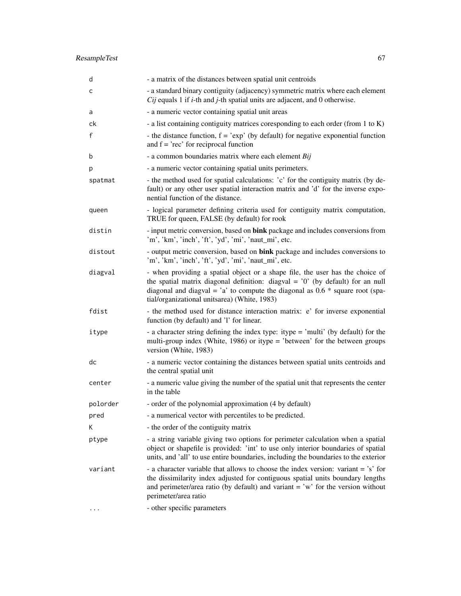# ResampleTest 67

| d        | - a matrix of the distances between spatial unit centroids                                                                                                                                                                                                                                           |
|----------|------------------------------------------------------------------------------------------------------------------------------------------------------------------------------------------------------------------------------------------------------------------------------------------------------|
| c        | - a standard binary contiguity (adjacency) symmetric matrix where each element<br>$Cij$ equals 1 if <i>i</i> -th and <i>j</i> -th spatial units are adjacent, and 0 otherwise.                                                                                                                       |
| a        | - a numeric vector containing spatial unit areas                                                                                                                                                                                                                                                     |
| ck       | - a list containing contiguity matrices coresponding to each order (from 1 to K)                                                                                                                                                                                                                     |
| f        | - the distance function, $f = 'exp'$ (by default) for negative exponential function<br>and $f = 'rec'$ for reciprocal function                                                                                                                                                                       |
| b        | - a common boundaries matrix where each element Bij                                                                                                                                                                                                                                                  |
| p        | - a numeric vector containing spatial units perimeters.                                                                                                                                                                                                                                              |
| spatmat  | - the method used for spatial calculations: 'c' for the contiguity matrix (by de-<br>fault) or any other user spatial interaction matrix and 'd' for the inverse expo-<br>nential function of the distance.                                                                                          |
| queen    | - logical parameter defining criteria used for contiguity matrix computation,<br>TRUE for queen, FALSE (by default) for rook                                                                                                                                                                         |
| distin   | - input metric conversion, based on bink package and includes conversions from<br>'m', 'km', 'inch', 'ft', 'yd', 'mi', 'naut_mi', etc.                                                                                                                                                               |
| distout  | - output metric conversion, based on bink package and includes conversions to<br>'m', 'km', 'inch', 'ft', 'yd', 'mi', 'naut_mi', etc.                                                                                                                                                                |
| diagval  | - when providing a spatial object or a shape file, the user has the choice of<br>the spatial matrix diagonal definition: diagval = $'0'$ (by default) for an null<br>diagonal and diagval = 'a' to compute the diagonal as $0.6 *$ square root (spa-<br>tial/organizational unitsarea) (White, 1983) |
| fdist    | - the method used for distance interaction matrix: e' for inverse exponential<br>function (by default) and 'l' for linear.                                                                                                                                                                           |
| itype    | - a character string defining the index type: itype = 'multi' (by default) for the<br>multi-group index (White, 1986) or itype = 'between' for the between groups<br>version (White, 1983)                                                                                                           |
| dc       | - a numeric vector containing the distances between spatial units centroids and<br>the central spatial unit                                                                                                                                                                                          |
| center   | - a numeric value giving the number of the spatial unit that represents the center<br>in the table                                                                                                                                                                                                   |
| polorder | - order of the polynomial approximation (4 by default)                                                                                                                                                                                                                                               |
| pred     | - a numerical vector with percentiles to be predicted.                                                                                                                                                                                                                                               |
| K.       | - the order of the contiguity matrix                                                                                                                                                                                                                                                                 |
| ptype    | - a string variable giving two options for perimeter calculation when a spatial<br>object or shapefile is provided: 'int' to use only interior boundaries of spatial<br>units, and 'all' to use entire boundaries, including the boundaries to the exterior                                          |
| variant  | - a character variable that allows to choose the index version: variant = 's' for<br>the dissimilarity index adjusted for contiguous spatial units boundary lengths<br>and perimeter/area ratio (by default) and variant = 'w' for the version without<br>perimeter/area ratio                       |
|          | - other specific parameters                                                                                                                                                                                                                                                                          |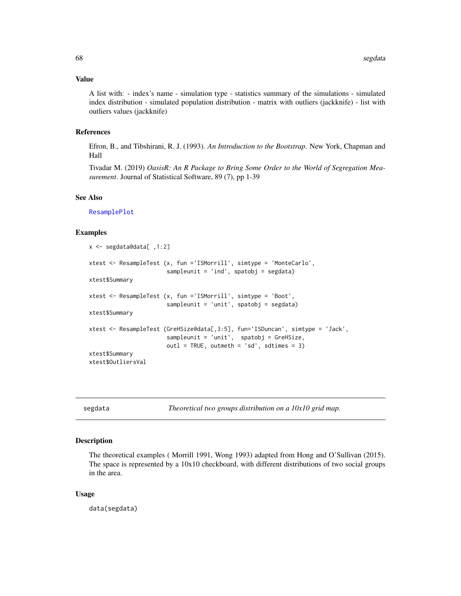#### Value

A list with: - index's name - simulation type - statistics summary of the simulations - simulated index distribution - simulated population distribution - matrix with outliers (jackknife) - list with outliers values (jackknife)

## References

Efron, B., and Tibshirani, R. J. (1993). *An Introduction to the Bootstrap*. New York, Chapman and Hall

Tivadar M. (2019) *OasisR: An R Package to Bring Some Order to the World of Segregation Measurement*. Journal of Statistical Software, 89 (7), pp 1-39

#### See Also

[ResamplePlot](#page-63-0)

#### Examples

```
x <- segdata@data[ ,1:2]
xtest <- ResampleTest (x, fun ='ISMorrill', simtype = 'MonteCarlo',
                       sampleunit = 'ind', spatobj = segdata)
xtest$Summary
xtest <- ResampleTest (x, fun ='ISMorrill', simtype = 'Boot',
                       sampleunit = 'unit', spatobj = segdata)
xtest$Summary
xtest <- ResampleTest (GreHSize@data[,3:5], fun='ISDuncan', simtype = 'Jack',
                       sampleunit = 'unit', spatobj = GreHSize,
                       out1 = TRUE, outmeth = 'sd', sdtimes = 3)
xtest$Summary
xtest$OutliersVal
```
segdata *Theoretical two groups distribution on a 10x10 grid map.*

## Description

The theoretical examples ( Morrill 1991, Wong 1993) adapted from Hong and O'Sullivan (2015). The space is represented by a  $10x10$  checkboard, with different distributions of two social groups in the area.

#### Usage

data(segdata)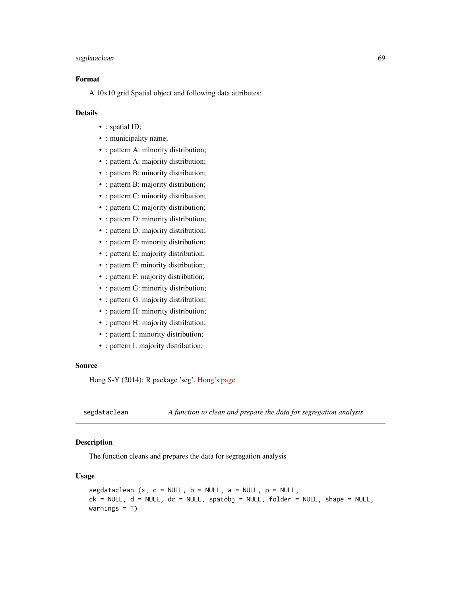## segdataclean 69

## Format

A 10x10 grid Spatial object and following data attributes:

## Details

- : spatial ID;
- : municipality name;
- : pattern A: minority distribution;
- : pattern A: majority distribution;
- : pattern B: minority distribution;
- : pattern B: majority distribution;
- : pattern C: minority distribution;
- : pattern C: majority distribution;
- : pattern D: minority distribution;
- : pattern D: majority distribution;
- : pattern E: minority distribution;
- : pattern E: majority distribution;
- : pattern F: minority distribution;
- : pattern F: majority distribution;
- : pattern G: minority distribution;
- : pattern G: majority distribution;
- : pattern H: minority distribution;
- : pattern H: majority distribution;
- : pattern I: minority distribution;
- : pattern I: majority distribution;

#### Source

Hong S-Y (2014): R package 'seg', [Hong's page](https://sites.google.com/site/hongseongyun/seg/)

segdataclean *A function to clean and prepare the data for segregation analysis*

## Description

The function cleans and prepares the data for segregation analysis

#### Usage

```
segdataclean (x, c = NULL, b = NULL, a = NULL, p = NULL,ck = NULL, d = NULL, dc = NULL, spatobj = NULL, folder = NULL, shape = NULL,
warnings = T)
```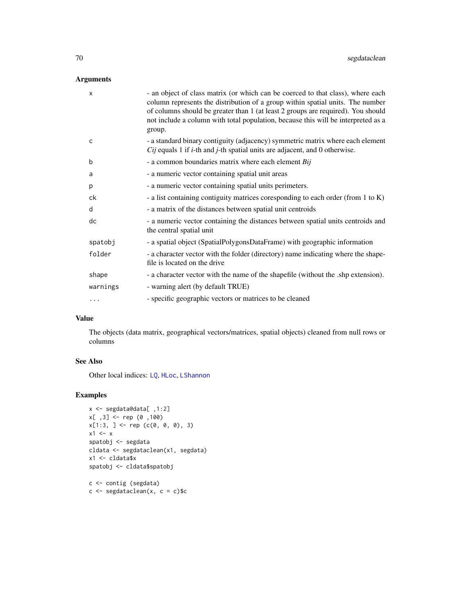## Arguments

| X        | - an object of class matrix (or which can be coerced to that class), where each<br>column represents the distribution of a group within spatial units. The number<br>of columns should be greater than 1 (at least 2 groups are required). You should<br>not include a column with total population, because this will be interpreted as a<br>group. |
|----------|------------------------------------------------------------------------------------------------------------------------------------------------------------------------------------------------------------------------------------------------------------------------------------------------------------------------------------------------------|
| C        | - a standard binary contiguity (adjacency) symmetric matrix where each element<br>$Cij$ equals 1 if <i>i</i> -th and <i>j</i> -th spatial units are adjacent, and 0 otherwise.                                                                                                                                                                       |
| b        | - a common boundaries matrix where each element Bij                                                                                                                                                                                                                                                                                                  |
| a        | - a numeric vector containing spatial unit areas                                                                                                                                                                                                                                                                                                     |
| p        | - a numeric vector containing spatial units perimeters.                                                                                                                                                                                                                                                                                              |
| ck       | - a list containing contiguity matrices coresponding to each order (from 1 to K)                                                                                                                                                                                                                                                                     |
| d        | - a matrix of the distances between spatial unit centroids                                                                                                                                                                                                                                                                                           |
| dc       | - a numeric vector containing the distances between spatial units centroids and<br>the central spatial unit                                                                                                                                                                                                                                          |
| spatobj  | - a spatial object (SpatialPolygonsDataFrame) with geographic information                                                                                                                                                                                                                                                                            |
| folder   | - a character vector with the folder (directory) name indicating where the shape-<br>file is located on the drive                                                                                                                                                                                                                                    |
| shape    | - a character vector with the name of the shapefile (without the .shp extension).                                                                                                                                                                                                                                                                    |
| warnings | - warning alert (by default TRUE)                                                                                                                                                                                                                                                                                                                    |
| .        | - specific geographic vectors or matrices to be cleaned                                                                                                                                                                                                                                                                                              |

## Value

The objects (data matrix, geographical vectors/matrices, spatial objects) cleaned from null rows or columns

## See Also

Other local indices: [LQ](#page-43-0), [HLoc](#page-33-0), [LShannon](#page-44-0)

## Examples

```
x <- segdata@data[ ,1:2]
x[ ,3] <- rep (0 ,100)
x[1:3, ] \leftarrow rep (c(0, 0, 0), 3)x1 \leftarrow xspatobj <- segdata
cldata <- segdataclean(x1, segdata)
x1 <- cldata$x
spatobj <- cldata$spatobj
c <- contig (segdata)
```
 $c \leftarrow$  segdataclean(x,  $c = c$ )\$c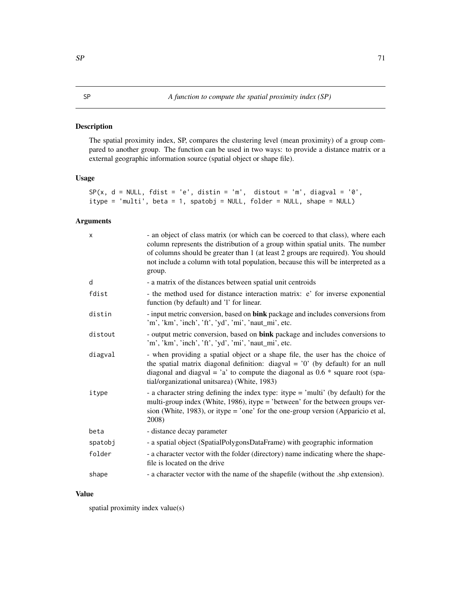<span id="page-70-0"></span>The spatial proximity index, SP, compares the clustering level (mean proximity) of a group compared to another group. The function can be used in two ways: to provide a distance matrix or a external geographic information source (spatial object or shape file).

## Usage

```
SP(x, d = NULL, fdist = 'e', distin = 'm', distout = 'm', diagval = '0',itype = 'multi', beta = 1, spatobj = NULL, folder = NULL, shape = NULL)
```
## Arguments

| X       | - an object of class matrix (or which can be coerced to that class), where each<br>column represents the distribution of a group within spatial units. The number<br>of columns should be greater than 1 (at least 2 groups are required). You should<br>not include a column with total population, because this will be interpreted as a<br>group. |
|---------|------------------------------------------------------------------------------------------------------------------------------------------------------------------------------------------------------------------------------------------------------------------------------------------------------------------------------------------------------|
| d       | - a matrix of the distances between spatial unit centroids                                                                                                                                                                                                                                                                                           |
| fdist   | - the method used for distance interaction matrix: e' for inverse exponential<br>function (by default) and 'l' for linear.                                                                                                                                                                                                                           |
| distin  | - input metric conversion, based on bink package and includes conversions from<br>'m', 'km', 'inch', 'ft', 'yd', 'mi', 'naut_mi', etc.                                                                                                                                                                                                               |
| distout | - output metric conversion, based on bink package and includes conversions to<br>'m', 'km', 'inch', 'ft', 'yd', 'mi', 'naut_mi', etc.                                                                                                                                                                                                                |
| diagval | - when providing a spatial object or a shape file, the user has the choice of<br>the spatial matrix diagonal definition: diagval = $'0'$ (by default) for an null<br>diagonal and diagval = 'a' to compute the diagonal as $0.6 *$ square root (spa-<br>tial/organizational unitsarea) (White, 1983)                                                 |
| itype   | - a character string defining the index type: itype = 'multi' (by default) for the<br>multi-group index (White, 1986), itype = 'between' for the between groups ver-<br>sion (White, 1983), or itype = 'one' for the one-group version (Apparicio et al,<br>2008)                                                                                    |
| beta    | - distance decay parameter                                                                                                                                                                                                                                                                                                                           |
| spatobj | - a spatial object (SpatialPolygonsDataFrame) with geographic information                                                                                                                                                                                                                                                                            |
| folder  | - a character vector with the folder (directory) name indicating where the shape-<br>file is located on the drive                                                                                                                                                                                                                                    |
| shape   | - a character vector with the name of the shapefile (without the shp extension).                                                                                                                                                                                                                                                                     |

# Value

spatial proximity index value(s)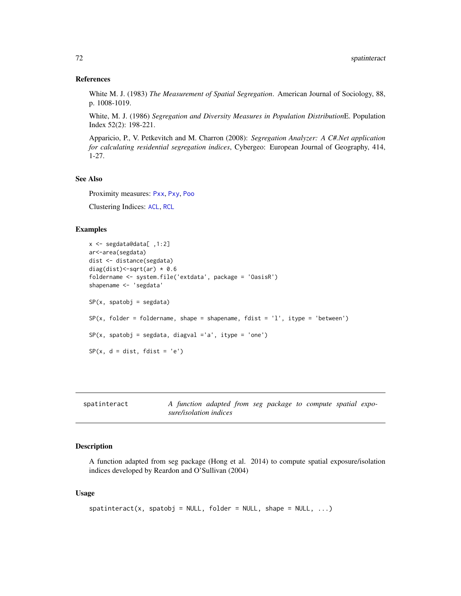#### References

White M. J. (1983) *The Measurement of Spatial Segregation*. American Journal of Sociology, 88, p. 1008-1019.

White, M. J. (1986) *Segregation and Diversity Measures in Population Distribution*E. Population Index 52(2): 198-221.

Apparicio, P., V. Petkevitch and M. Charron (2008): *Segregation Analyzer: A C#.Net application for calculating residential segregation indices*, Cybergeo: European Journal of Geography, 414, 1-27.

## See Also

Proximity measures: [Pxx](#page-51-0), [Pxy](#page-53-0), [Poo](#page-50-0)

Clustering Indices: [ACL](#page-9-0), [RCL](#page-60-0)

#### Examples

```
x <- segdata@data[ ,1:2]
ar<-area(segdata)
dist <- distance(segdata)
diag(dist)<-sqrt(ar) * 0.6
foldername <- system.file('extdata', package = 'OasisR')
shapename <- 'segdata'
SP(x, spatobj = segdata)
SP(x, folder = foldername, shape = shapename, fdist = 'l', itype = 'between')SP(x, spatobj = segdata, diagval = 'a', itype = 'one')SP(x, d = dist, fdist = 'e')
```

| spatinteract | A function adapted from seg package to compute spatial expo- |  |  |  |
|--------------|--------------------------------------------------------------|--|--|--|
|              | sure/isolation indices                                       |  |  |  |

## Description

A function adapted from seg package (Hong et al. 2014) to compute spatial exposure/isolation indices developed by Reardon and O'Sullivan (2004)

#### Usage

```
spatinteract(x, spatobj = NULL, folder = NULL, shape = NULL, ...)
```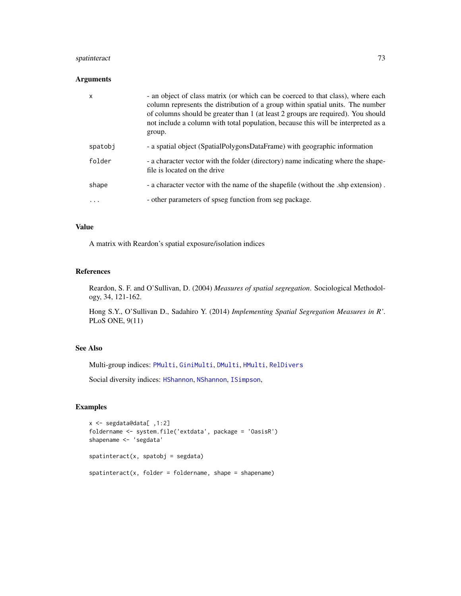## <span id="page-72-0"></span>spatinteract 73

#### Arguments

| $\mathsf{x}$ | - an object of class matrix (or which can be coerced to that class), where each<br>column represents the distribution of a group within spatial units. The number<br>of columns should be greater than 1 (at least 2 groups are required). You should<br>not include a column with total population, because this will be interpreted as a<br>group. |
|--------------|------------------------------------------------------------------------------------------------------------------------------------------------------------------------------------------------------------------------------------------------------------------------------------------------------------------------------------------------------|
| spatobj      | - a spatial object (SpatialPolygonsDataFrame) with geographic information                                                                                                                                                                                                                                                                            |
| folder       | - a character vector with the folder (directory) name indicating where the shape-<br>file is located on the drive                                                                                                                                                                                                                                    |
| shape        | - a character vector with the name of the shapefile (without the .shp extension).                                                                                                                                                                                                                                                                    |
| .            | - other parameters of spseg function from seg package.                                                                                                                                                                                                                                                                                               |

## Value

A matrix with Reardon's spatial exposure/isolation indices

#### References

Reardon, S. F. and O'Sullivan, D. (2004) *Measures of spatial segregation*. Sociological Methodology, 34, 121-162.

Hong S.Y., O'Sullivan D., Sadahiro Y. (2014) *Implementing Spatial Segregation Measures in R'*. PLoS ONE, 9(11)

## See Also

Multi-group indices: [PMulti](#page-49-0), [GiniMulti](#page-31-0), [DMulti](#page-25-0), [HMulti](#page-34-0), [RelDivers](#page-62-0)

Social diversity indices: [HShannon](#page-35-0), [NShannon](#page-46-0), [ISimpson](#page-38-0),

#### Examples

```
x <- segdata@data[ ,1:2]
foldername <- system.file('extdata', package = 'OasisR')
shapename <- 'segdata'
spatinteract(x, spatobj = segdata)
spatinteract(x, folder = foldername, shape = shapename)
```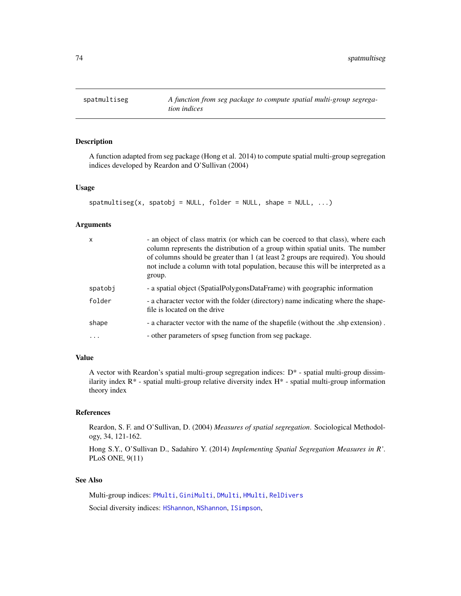<span id="page-73-0"></span>

## Description

A function adapted from seg package (Hong et al. 2014) to compute spatial multi-group segregation indices developed by Reardon and O'Sullivan (2004)

#### Usage

```
spatmultiseg(x, spatobj = NULL, folder = NULL, shape = NULL, ...)
```
#### Arguments

| X       | - an object of class matrix (or which can be coerced to that class), where each<br>column represents the distribution of a group within spatial units. The number<br>of columns should be greater than 1 (at least 2 groups are required). You should<br>not include a column with total population, because this will be interpreted as a<br>group. |
|---------|------------------------------------------------------------------------------------------------------------------------------------------------------------------------------------------------------------------------------------------------------------------------------------------------------------------------------------------------------|
| spatobj | - a spatial object (SpatialPolygonsDataFrame) with geographic information                                                                                                                                                                                                                                                                            |
| folder  | - a character vector with the folder (directory) name indicating where the shape-<br>file is located on the drive                                                                                                                                                                                                                                    |
| shape   | - a character vector with the name of the shapefile (without the .shp extension).                                                                                                                                                                                                                                                                    |
| .       | - other parameters of spseg function from seg package.                                                                                                                                                                                                                                                                                               |

#### Value

A vector with Reardon's spatial multi-group segregation indices: D\* - spatial multi-group dissimilarity index  $R^*$  - spatial multi-group relative diversity index  $H^*$  - spatial multi-group information theory index

#### References

Reardon, S. F. and O'Sullivan, D. (2004) *Measures of spatial segregation*. Sociological Methodology, 34, 121-162.

Hong S.Y., O'Sullivan D., Sadahiro Y. (2014) *Implementing Spatial Segregation Measures in R'*. PLoS ONE, 9(11)

## See Also

Multi-group indices: [PMulti](#page-49-0), [GiniMulti](#page-31-0), [DMulti](#page-25-0), [HMulti](#page-34-0), [RelDivers](#page-62-0) Social diversity indices: [HShannon](#page-35-0), [NShannon](#page-46-0), [ISimpson](#page-38-0),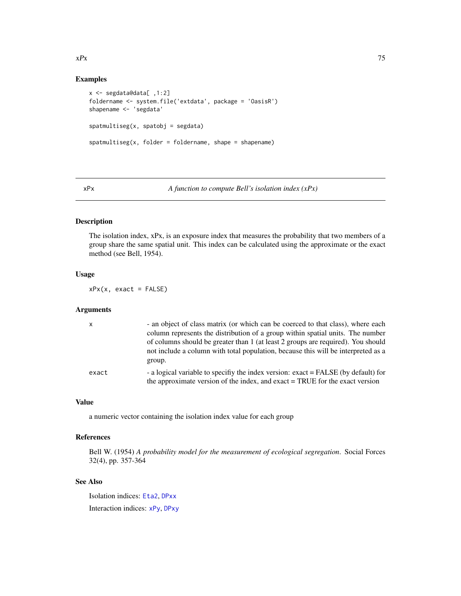#### <span id="page-74-1"></span> $xPx$  75

#### Examples

```
x <- segdata@data[ ,1:2]
foldername <- system.file('extdata', package = 'OasisR')
shapename <- 'segdata'
spatmultiseg(x, spatobj = segdata)
spatmultiseg(x, folder = foldername, shape = shapename)
```
<span id="page-74-0"></span>xPx *A function to compute Bell's isolation index (xPx)*

## Description

The isolation index, xPx, is an exposure index that measures the probability that two members of a group share the same spatial unit. This index can be calculated using the approximate or the exact method (see Bell, 1954).

#### Usage

 $xPx(x, exact = FALSE)$ 

### Arguments

| $\mathsf{x}$ | - an object of class matrix (or which can be coerced to that class), where each<br>column represents the distribution of a group within spatial units. The number<br>of columns should be greater than 1 (at least 2 groups are required). You should |
|--------------|-------------------------------------------------------------------------------------------------------------------------------------------------------------------------------------------------------------------------------------------------------|
|              | not include a column with total population, because this will be interpreted as a<br>group.                                                                                                                                                           |
| exact        | - a logical variable to specify the index version: exact = FALSE (by default) for<br>the approximate version of the index, and exact = TRUE for the exact version                                                                                     |

# Value

a numeric vector containing the isolation index value for each group

#### References

Bell W. (1954) *A probability model for the measurement of ecological segregation*. Social Forces 32(4), pp. 357-364

#### See Also

Isolation indices: [Eta2](#page-28-0), [DPxx](#page-26-0) Interaction indices: [xPy](#page-75-0), [DPxy](#page-27-0)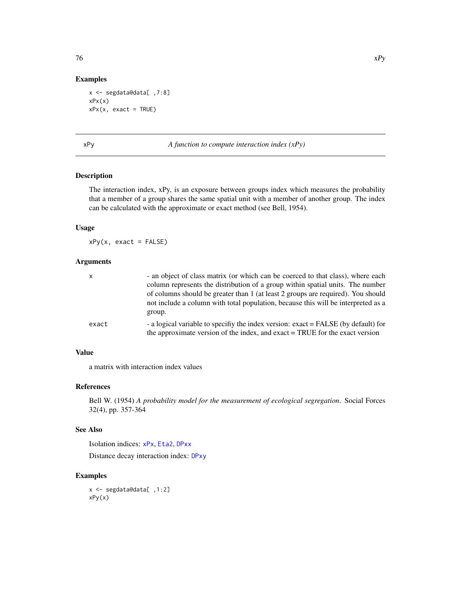#### Examples

```
x <- segdata@data[ ,7:8]
xPx(x)xPx(x, exact = TRUE)
```
<span id="page-75-0"></span>xPy *A function to compute interaction index (xPy)*

## Description

The interaction index, xPy, is an exposure between groups index which measures the probability that a member of a group shares the same spatial unit with a member of another group. The index can be calculated with the approximate or exact method (see Bell, 1954).

#### Usage

 $xPy(x, exact = FALSE)$ 

#### Arguments

| - an object of class matrix (or which can be coerced to that class), where each                                                                                    |
|--------------------------------------------------------------------------------------------------------------------------------------------------------------------|
| column represents the distribution of a group within spatial units. The number                                                                                     |
| of columns should be greater than 1 (at least 2 groups are required). You should                                                                                   |
| not include a column with total population, because this will be interpreted as a                                                                                  |
| group.                                                                                                                                                             |
| - a logical variable to specifiv the index version: exact = FALSE (by default) for<br>the approximate version of the index, and exact = TRUE for the exact version |
|                                                                                                                                                                    |

# Value

a matrix with interaction index values

#### References

Bell W. (1954) *A probability model for the measurement of ecological segregation*. Social Forces 32(4), pp. 357-364

#### See Also

Isolation indices: [xPx](#page-74-0), [Eta2](#page-28-0), [DPxx](#page-26-0)

Distance decay interaction index: [DPxy](#page-27-0)

## Examples

x <- segdata@data[ ,1:2] xPy(x)

<span id="page-75-1"></span>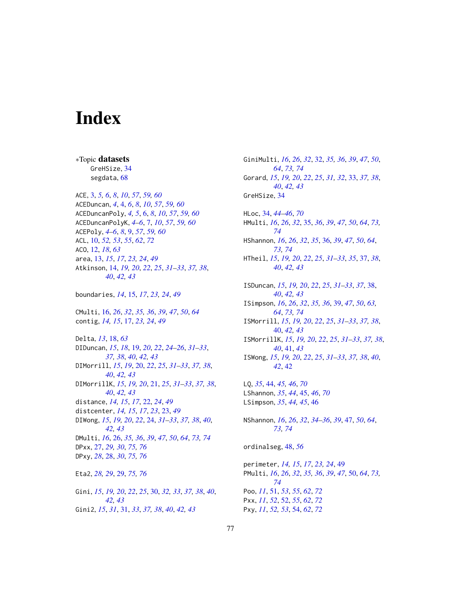# **Index**

\*Topic datasets

GreHSize, 34 segdata, 68 ACE, 3, 5, 6, 8, 10, 57, 59, 60 ACEDuncan, 4, 4, 6, 8, 10, 57, 59, 60 ACEDuncanPoly, 4, 5, 6, 8, 10, 57, 59, 60 ACEDuncanPolyK, 4-6, 7, 10, 57, 59, 60 ACEPoly, 4-6, 8, 9, 57, 59, 60 ACL, 10, 52, 53, 55, 62, 72 ACO, 12, 18, 63 area, 13, 15, 17, 23, 24, 49 Atkinson, 14, 19, 20, 22, 25, 31-33, 37, 38,  $40, 42, 43$ boundaries, 14, 15, 17, 23, 24, 49 CMulti, 16, 26, 32, 35, 36, 39, 47, 50, 64 contig, 14, 15, 17, 23, 24, 49 Delta, 13, 18, 63 DIDuncan, 15, 18, 19, 20, 22, 24-26, 31-33, 37, 38, 40, 42, 43 DIMorrill, 15, 19, 20, 22, 25, 31-33, 37, 38,  $40, 42, 43$ DIMorrillK, 15, 19, 20, 21, 25, 31-33, 37, 38,  $40, 42, 43$ distance, 14, 15, 17, 22, 24, 49 distcenter, 14, 15, 17, 23, 23, 49 DIWong, 15, 19, 20, 22, 24, 31-33, 37, 38, 40, 42, 43 DMulti, 16, 26, 35, 36, 39, 47, 50, 64, 73, 74 DPxx, 27, 29, 30, 75, 76 DPxy, 28, 28, 30, 75, 76 Eta2, 28, 29, 29, 75, 76 Gini, 15, 19, 20, 22, 25, 30, 32, 33, 37, 38, 40, 42, 43 Gini2, 15, 31, 31, 33, 37, 38, 40, 42, 43

GiniMulti, 16, 26, 32, 32, 35, 36, 39, 47, 50, 64, 73, 74 Gorard, 15, 19, 20, 22, 25, 31, 32, 33, 37, 38,  $40, 42, 43$ GreHSize, 34 HLoc. 34, 44-46, 70 HMulti, 16, 26, 32, 35, 36, 39, 47, 50, 64, 73,  $74$ HShannon, 16, 26, 32, 35, 36, 39, 47, 50, 64, 73, 74 HTheil, 15, 19, 20, 22, 25, 31-33, 35, 37, 38,  $40, 42, 43$ ISDuncan, 15, 19, 20, 22, 25, 31-33, 37, 38,  $40, 42, 43$ ISimpson, 16, 26, 32, 35, 36, 39, 47, 50, 63, 64, 73, 74 ISMorrill, 15, 19, 20, 22, 25, 31-33, 37, 38, 40, 42, 43 ISMorrillK, 15, 19, 20, 22, 25, 31-33, 37, 38,  $40, 41, 43$ ISWong, 15, 19, 20, 22, 25, 31-33, 37, 38, 40, 42, 42 LQ, 35, 44, 45, 46, 70 LShannon, 35, 44, 45, 46, 70 LSimpson, 35, 44, 45, 46 NShannon, 16, 26, 32, 34-36, 39, 47, 50, 64, 73, 74 ordinalseg, 48, 56 perimeter, 14, 15, 17, 23, 24, 49 PMulti, 16, 26, 32, 35, 36, 39, 47, 50, 64, 73, 74 Poo, 11, 51, 53, 55, 62, 72 Pxx, 11, 52, 52, 55, 62, 72 Pxy, 11, 52, 53, 54, 62, 72